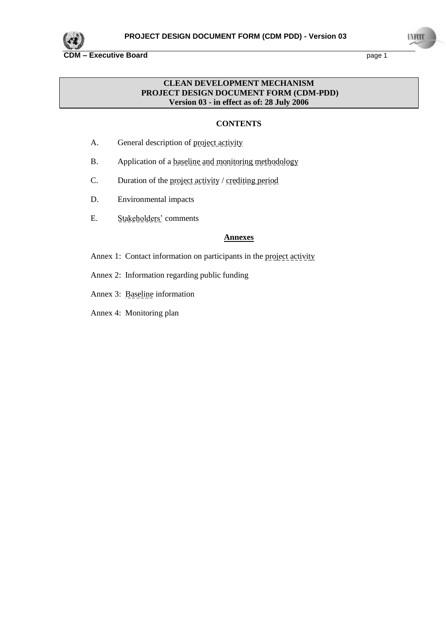

**LAFOO** 

## **CLEAN DEVELOPMENT MECHANISM PROJECT DESIGN DOCUMENT FORM (CDM-PDD) Version 03 - in effect as of: 28 July 2006**

# **CONTENTS**

- A. General description of project activity
- B. Application of a **baseline and monitoring methodology**
- C. Duration of the project activity / crediting period
- D. Environmental impacts
- E. Stakeholders' comments

#### **Annexes**

- Annex 1: Contact information on participants in the project activity
- Annex 2: Information regarding public funding
- Annex 3: Baseline information
- Annex 4: Monitoring plan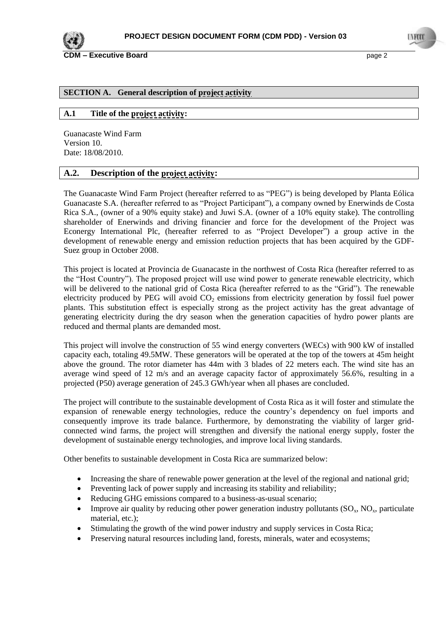

### **SECTION A. General description of project activity**

## **A.1 Title of the project activity:**

Guanacaste Wind Farm Version 10. Date: 18/08/2010.

## **A.2. Description of the project activity:**

The Guanacaste Wind Farm Project (hereafter referred to as "PEG") is being developed by Planta Eólica Guanacaste S.A. (hereafter referred to as "Project Participant"), a company owned by Enerwinds de Costa Rica S.A., (owner of a 90% equity stake) and Juwi S.A. (owner of a 10% equity stake). The controlling shareholder of Enerwinds and driving financier and force for the development of the Project was Econergy International Plc, (hereafter referred to as "Project Developer") a group active in the development of renewable energy and emission reduction projects that has been acquired by the GDF-Suez group in October 2008.

This project is located at Provincia de Guanacaste in the northwest of Costa Rica (hereafter referred to as the "Host Country"). The proposed project will use wind power to generate renewable electricity, which will be delivered to the national grid of Costa Rica (hereafter referred to as the "Grid"). The renewable electricity produced by PEG will avoid  $CO<sub>2</sub>$  emissions from electricity generation by fossil fuel power plants. This substitution effect is especially strong as the project activity has the great advantage of generating electricity during the dry season when the generation capacities of hydro power plants are reduced and thermal plants are demanded most.

This project will involve the construction of 55 wind energy converters (WECs) with 900 kW of installed capacity each, totaling 49.5MW. These generators will be operated at the top of the towers at 45m height above the ground. The rotor diameter has 44m with 3 blades of 22 meters each. The wind site has an average wind speed of 12 m/s and an average capacity factor of approximately 56.6%, resulting in a projected (P50) average generation of 245.3 GWh/year when all phases are concluded.

The project will contribute to the sustainable development of Costa Rica as it will foster and stimulate the expansion of renewable energy technologies, reduce the country"s dependency on fuel imports and consequently improve its trade balance. Furthermore, by demonstrating the viability of larger gridconnected wind farms, the project will strengthen and diversify the national energy supply, foster the development of sustainable energy technologies, and improve local living standards.

Other benefits to sustainable development in Costa Rica are summarized below:

- Increasing the share of renewable power generation at the level of the regional and national grid;
- Preventing lack of power supply and increasing its stability and reliability;
- Reducing GHG emissions compared to a business-as-usual scenario;
- Improve air quality by reducing other power generation industry pollutants  $(SO_x, NO_x,$  particulate material, etc.);
- Stimulating the growth of the wind power industry and supply services in Costa Rica;
- Preserving natural resources including land, forests, minerals, water and ecosystems;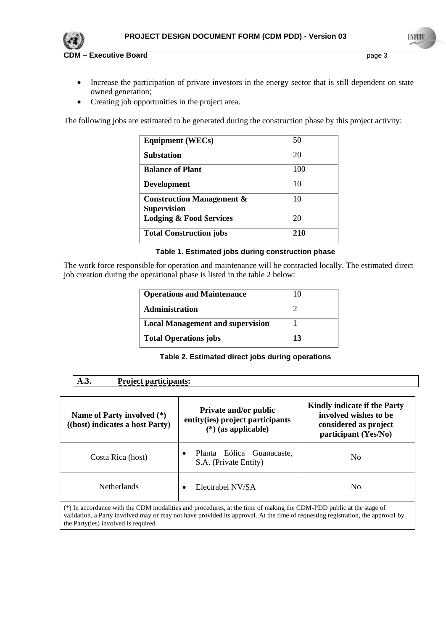



I A PECI

- Increase the participation of private investors in the energy sector that is still dependent on state owned generation;
- Creating job opportunities in the project area.

The following jobs are estimated to be generated during the construction phase by this project activity:

| <b>Equipment (WECs)</b>                                    | 50  |
|------------------------------------------------------------|-----|
| <b>Substation</b>                                          | 20  |
| <b>Balance of Plant</b>                                    | 100 |
| <b>Development</b>                                         | 10  |
| <b>Construction Management &amp;</b><br><b>Supervision</b> | 10  |
| <b>Lodging &amp; Food Services</b>                         | 20  |
| <b>Total Construction jobs</b>                             | 210 |

#### **Table 1. Estimated jobs during construction phase**

The work force responsible for operation and maintenance will be contracted locally. The estimated direct job creation during the operational phase is listed in the table 2 below:

| <b>Operations and Maintenance</b>       | 10 |
|-----------------------------------------|----|
| <b>Administration</b>                   |    |
| <b>Local Management and supervision</b> |    |
| <b>Total Operations jobs</b>            | 13 |

## **Table 2. Estimated direct jobs during operations**

| <b>Project participants:</b><br>A.3.<br>Name of Party involved (*)<br>((host) indicates a host Party)              | <b>Private and/or public</b><br>entity(ies) project participants<br>$(*)$ (as applicable) | Kindly indicate if the Party<br>involved wishes to be<br>considered as project<br>participant (Yes/No) |
|--------------------------------------------------------------------------------------------------------------------|-------------------------------------------------------------------------------------------|--------------------------------------------------------------------------------------------------------|
| Costa Rica (host)                                                                                                  | Planta Eólica Guanacaste,<br>$\bullet$<br>S.A. (Private Entity)                           | No                                                                                                     |
| <b>Netherlands</b>                                                                                                 | Electrabel NV/SA<br>$\bullet$                                                             | No                                                                                                     |
| (*) In accordance with the CDM modalities and procedures, at the time of making the CDM-PDD public at the stage of |                                                                                           |                                                                                                        |

validation, a Party involved may or may not have provided its approval. At the time of requesting registration, the approval by the Party(ies) involved is required.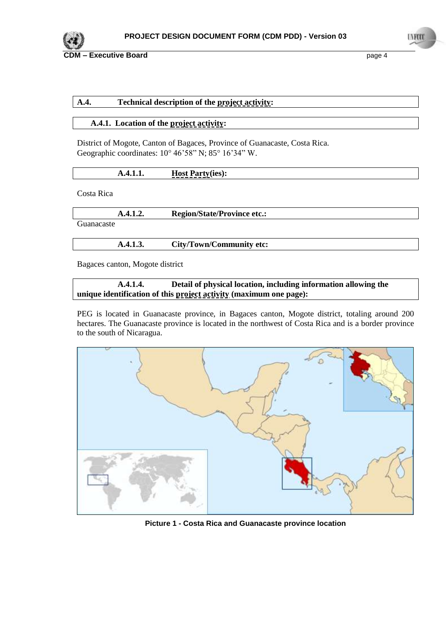

# **A.4. Technical description of the project activity:**

#### **A.4.1. Location of the project activity:**

District of Mogote, Canton of Bagaces, Province of Guanacaste, Costa Rica. Geographic coordinates:  $10^{\circ}$  46'58" N; 85 $^{\circ}$  16'34" W.

| {<br>-------- | <b>Host Party</b> (ies): |
|---------------|--------------------------|
|---------------|--------------------------|

Costa Rica

|            | A.4.1.2. | <b>Region/State/Province etc.:</b> |  |
|------------|----------|------------------------------------|--|
| Guanacaste |          |                                    |  |

**A.4.1.3. City/Town/Community etc:**

Bagaces canton, Mogote district

**A.4.1.4. Detail of physical location, including information allowing the unique identification of this project activity (maximum one page):**

PEG is located in Guanacaste province, in Bagaces canton, Mogote district, totaling around 200 hectares. The Guanacaste province is located in the northwest of Costa Rica and is a border province to the south of Nicaragua.



**Picture 1 - Costa Rica and Guanacaste province location**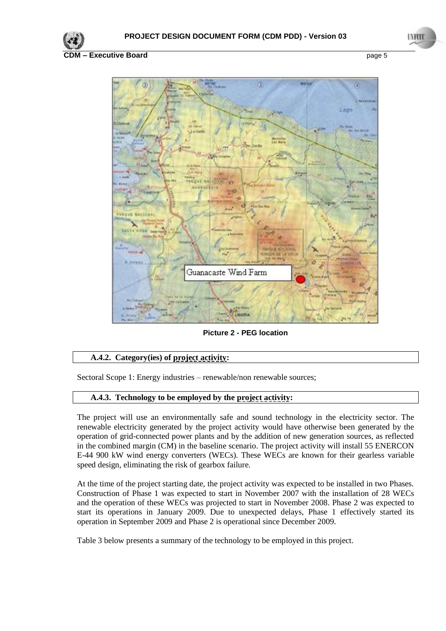



**Picture 2 - PEG location**

# **A.4.2. Category(ies) of project activity:**

Sectoral Scope 1: Energy industries – renewable/non renewable sources;

#### **A.4.3. Technology to be employed by the project activity:**

The project will use an environmentally safe and sound technology in the electricity sector. The renewable electricity generated by the project activity would have otherwise been generated by the operation of grid-connected power plants and by the addition of new generation sources, as reflected in the combined margin (CM) in the baseline scenario. The project activity will install 55 ENERCON E-44 900 kW wind energy converters (WECs). These WECs are known for their gearless variable speed design, eliminating the risk of gearbox failure.

At the time of the project starting date, the project activity was expected to be installed in two Phases. Construction of Phase 1 was expected to start in November 2007 with the installation of 28 WECs and the operation of these WECs was projected to start in November 2008. Phase 2 was expected to start its operations in January 2009. Due to unexpected delays, Phase 1 effectively started its operation in September 2009 and Phase 2 is operational since December 2009.

[Table](#page-5-0) 3 below presents a summary of the technology to be employed in this project.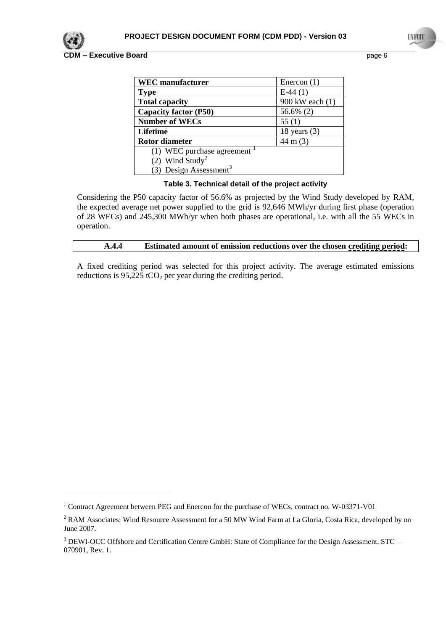

1

**CDM – Executive Board** page 6

| <b>WEC</b> manufacturer                  | Enercon $(1)$      |
|------------------------------------------|--------------------|
| <b>Type</b>                              | $E-44(1)$          |
| <b>Total capacity</b>                    | 900 kW each (1)    |
| <b>Capacity factor (P50)</b>             | 56.6% (2)          |
| <b>Number of WECs</b>                    | 55 $(1)$           |
| Lifetime                                 | 18 years $(3)$     |
| <b>Rotor diameter</b>                    | $44 \text{ m} (3)$ |
| (1) WEC purchase agreement $\frac{1}{1}$ |                    |
| (2) Wind Study <sup>2</sup>              |                    |
| (3) Design Assessment <sup>3</sup>       |                    |

### **Table 3. Technical detail of the project activity**

<span id="page-5-0"></span>Considering the P50 capacity factor of 56.6% as projected by the Wind Study developed by RAM, the expected average net power supplied to the grid is 92,646 MWh/yr during first phase (operation of 28 WECs) and 245,300 MWh/yr when both phases are operational, i.e. with all the 55 WECs in operation.

#### **A.4.4 Estimated amount of emission reductions over the chosen crediting period:**

A fixed crediting period was selected for this project activity. The average estimated emissions reductions is  $95,225$  tCO<sub>2</sub> per year during the crediting period.

<sup>&</sup>lt;sup>1</sup> Contract Agreement between PEG and Enercon for the purchase of WECs, contract no. W-03371-V01

<sup>&</sup>lt;sup>2</sup> RAM Associates: Wind Resource Assessment for a 50 MW Wind Farm at La Gloria, Costa Rica, developed by on June 2007.

<sup>&</sup>lt;sup>3</sup> DEWI-OCC Offshore and Certification Centre GmbH: State of Compliance for the Design Assessment, STC – 070901, Rev. 1.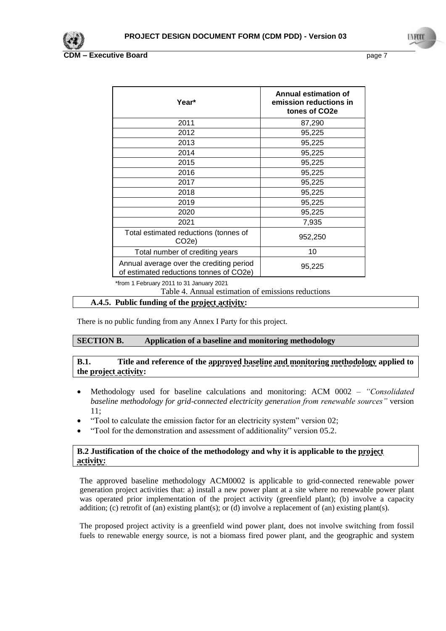

| Year*                                                                                         | Annual estimation of<br>emission reductions in<br>tones of CO <sub>2</sub> e |
|-----------------------------------------------------------------------------------------------|------------------------------------------------------------------------------|
| 2011                                                                                          | 87,290                                                                       |
| 2012                                                                                          | 95,225                                                                       |
| 2013                                                                                          | 95,225                                                                       |
| 2014                                                                                          | 95,225                                                                       |
| 2015                                                                                          | 95,225                                                                       |
| 2016                                                                                          | 95,225                                                                       |
| 2017                                                                                          | 95,225                                                                       |
| 2018                                                                                          | 95,225                                                                       |
| 2019                                                                                          | 95,225                                                                       |
| 2020                                                                                          | 95,225                                                                       |
| 2021                                                                                          | 7,935                                                                        |
| Total estimated reductions (tonnes of<br>CO <sub>2</sub> e)                                   | 952,250                                                                      |
| Total number of crediting years                                                               | 10                                                                           |
| Annual average over the crediting period<br>95,225<br>of estimated reductions tonnes of CO2e) |                                                                              |

\*from 1 February 2011 to 31 January 2021

Table 4. Annual estimation of emissions reductions

#### **A.4.5. Public funding of the project activity:**

There is no public funding from any Annex I Party for this project.

### **SECTION B. Application of a baseline and monitoring methodology**

## **B.1. Title and reference of the approved baseline and monitoring methodology applied to the project activity:**

- Methodology used for baseline calculations and monitoring: ACM 0002 *"Consolidated baseline methodology for grid-connected electricity generation from renewable sources"* version 11;
- "Tool to calculate the emission factor for an electricity system" version 02;
- "Tool for the demonstration and assessment of additionality" version 05.2.

### **B.2 Justification of the choice of the methodology and why it is applicable to the project activity:**

The approved baseline methodology ACM0002 is applicable to grid-connected renewable power generation project activities that: a) install a new power plant at a site where no renewable power plant was operated prior implementation of the project activity (greenfield plant); (b) involve a capacity addition; (c) retrofit of (an) existing plant(s); or (d) involve a replacement of (an) existing plant(s).

The proposed project activity is a greenfield wind power plant, does not involve switching from fossil fuels to renewable energy source, is not a biomass fired power plant, and the geographic and system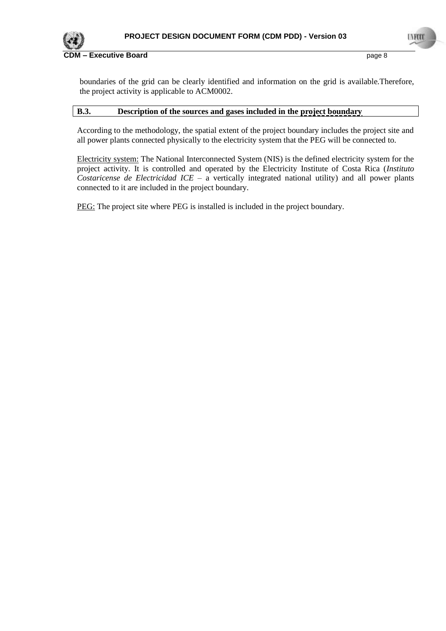

boundaries of the grid can be clearly identified and information on the grid is available.Therefore, the project activity is applicable to ACM0002.

#### **B.3. Description of the sources and gases included in the project boundary**

According to the methodology, the spatial extent of the project boundary includes the project site and all power plants connected physically to the electricity system that the PEG will be connected to.

Electricity system: The National Interconnected System (NIS) is the defined electricity system for the project activity. It is controlled and operated by the Electricity Institute of Costa Rica (*Instituto Costaricense de Electricidad ICE* – a vertically integrated national utility) and all power plants connected to it are included in the project boundary.

PEG: The project site where PEG is installed is included in the project boundary.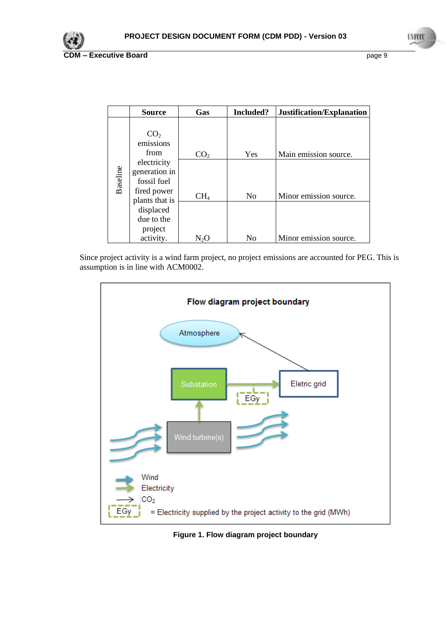

|          | <b>Source</b>                                                     | Gas             | Included?      | Justification/Explanation |
|----------|-------------------------------------------------------------------|-----------------|----------------|---------------------------|
|          | CO <sub>2</sub><br>emissions<br>from<br>electricity               | CO <sub>2</sub> | Yes            | Main emission source.     |
| Baseline | generation in<br>fossil fuel<br>fired power                       | CH <sub>4</sub> | N <sub>o</sub> | Minor emission source.    |
|          | plants that is<br>displaced<br>due to the<br>project<br>activity. | $\rm N_2O$      | N <sub>0</sub> | Minor emission source.    |

Since project activity is a wind farm project, no project emissions are accounted for PEG. This is assumption is in line with ACM0002.



**Figure 1. Flow diagram project boundary**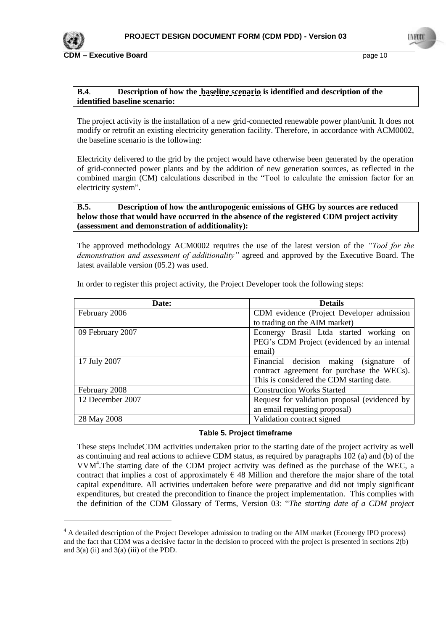

1

**CDM – Executive Board** page 10

### **B.4**. **Description of how the baseline scenario is identified and description of the identified baseline scenario:**

The project activity is the installation of a new grid-connected renewable power plant/unit. It does not modify or retrofit an existing electricity generation facility. Therefore, in accordance with ACM0002, the baseline scenario is the following:

Electricity delivered to the grid by the project would have otherwise been generated by the operation of grid-connected power plants and by the addition of new generation sources, as reflected in the combined margin (CM) calculations described in the "Tool to calculate the emission factor for an electricity system".

## **B.5. Description of how the anthropogenic emissions of GHG by sources are reduced below those that would have occurred in the absence of the registered CDM project activity (assessment and demonstration of additionality):**

The approved methodology ACM0002 requires the use of the latest version of the *"Tool for the demonstration and assessment of additionality"* agreed and approved by the Executive Board. The latest available version (05.2) was used.

| Date:            | <b>Details</b>                                |  |
|------------------|-----------------------------------------------|--|
| February 2006    | CDM evidence (Project Developer admission     |  |
|                  | to trading on the AIM market)                 |  |
| 09 February 2007 | Econergy Brasil Ltda started working on       |  |
|                  | PEG's CDM Project (evidenced by an internal   |  |
|                  | email)                                        |  |
| 17 July 2007     | Financial decision making<br>(signature of    |  |
|                  | contract agreement for purchase the WECs).    |  |
|                  | This is considered the CDM starting date.     |  |
| February 2008    | <b>Construction Works Started</b>             |  |
| 12 December 2007 | Request for validation proposal (evidenced by |  |
|                  | an email requesting proposal)                 |  |
| 28 May 2008      | Validation contract signed                    |  |

In order to register this project activity, the Project Developer took the following steps:

# **Table 5. Project timeframe**

These steps includeCDM activities undertaken prior to the starting date of the project activity as well as continuing and real actions to achieve CDM status, as required by paragraphs 102 (a) and (b) of the VVM<sup>4</sup> .The starting date of the CDM project activity was defined as the purchase of the WEC, a contract that implies a cost of approximately  $\epsilon$  48 Million and therefore the major share of the total capital expenditure. All activities undertaken before were preparative and did not imply significant expenditures, but created the precondition to finance the project implementation. This complies with the definition of the CDM Glossary of Terms, Version 03: "*The starting date of a CDM project* 

<sup>&</sup>lt;sup>4</sup> A detailed description of the Project Developer admission to trading on the AIM market (Econergy IPO process) and the fact that CDM was a decisive factor in the decision to proceed with the project is presented in sections 2(b) and  $3(a)$  (ii) and  $3(a)$  (iii) of the PDD.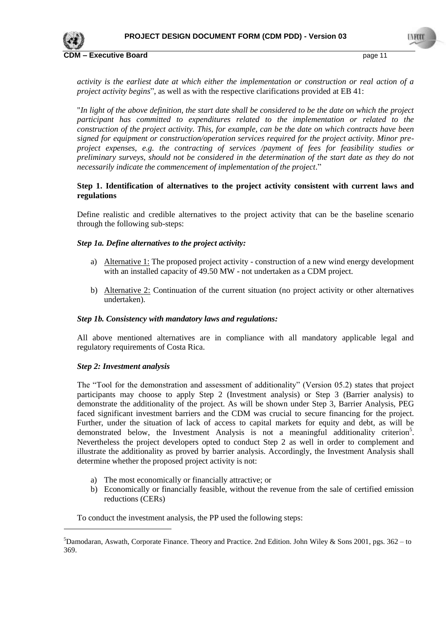

*activity is the earliest date at which either the implementation or construction or real action of a project activity begins*", as well as with the respective clarifications provided at EB 41:

"*In light of the above definition, the start date shall be considered to be the date on which the project participant has committed to expenditures related to the implementation or related to the construction of the project activity. This, for example, can be the date on which contracts have been signed for equipment or construction/operation services required for the project activity. Minor preproject expenses, e.g. the contracting of services /payment of fees for feasibility studies or preliminary surveys, should not be considered in the determination of the start date as they do not necessarily indicate the commencement of implementation of the project*."

### **Step 1. Identification of alternatives to the project activity consistent with current laws and regulations**

Define realistic and credible alternatives to the project activity that can be the baseline scenario through the following sub-steps:

# *Step 1a. Define alternatives to the project activity:*

- a) Alternative 1: The proposed project activity construction of a new wind energy development with an installed capacity of 49.50 MW - not undertaken as a CDM project.
- b) Alternative 2: Continuation of the current situation (no project activity or other alternatives undertaken).

#### *Step 1b. Consistency with mandatory laws and regulations:*

All above mentioned alternatives are in compliance with all mandatory applicable legal and regulatory requirements of Costa Rica.

#### *Step 2: Investment analysis*

<u>.</u>

The "Tool for the demonstration and assessment of additionality" (Version 05.2) states that project participants may choose to apply Step 2 (Investment analysis) or Step 3 (Barrier analysis) to demonstrate the additionality of the project. As will be shown under Step 3, Barrier Analysis, PEG faced significant investment barriers and the CDM was crucial to secure financing for the project. Further, under the situation of lack of access to capital markets for equity and debt, as will be demonstrated below, the Investment Analysis is not a meaningful additionality criterion<sup>5</sup>. Nevertheless the project developers opted to conduct Step 2 as well in order to complement and illustrate the additionality as proved by barrier analysis. Accordingly, the Investment Analysis shall determine whether the proposed project activity is not:

- a) The most economically or financially attractive; or
- b) Economically or financially feasible, without the revenue from the sale of certified emission reductions (CERs)

To conduct the investment analysis, the PP used the following steps:

<sup>&</sup>lt;sup>5</sup>Damodaran, Aswath, Corporate Finance. Theory and Practice. 2nd Edition. John Wiley & Sons 2001, pgs. 362 – to 369.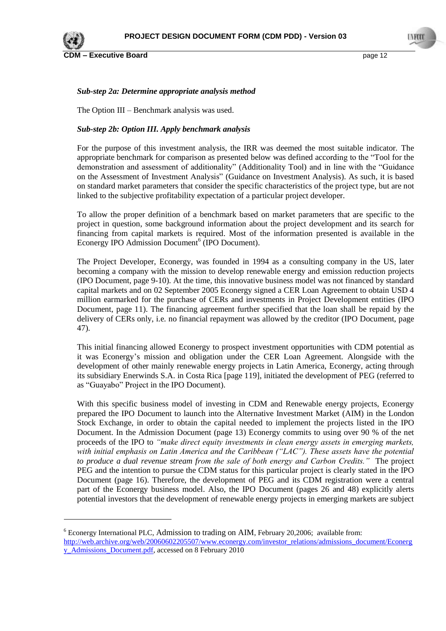

1

**CDM – Executive Board** page 12

### *Sub-step 2a: Determine appropriate analysis method*

The Option III – Benchmark analysis was used.

## *Sub-step 2b: Option III. Apply benchmark analysis*

For the purpose of this investment analysis, the IRR was deemed the most suitable indicator. The appropriate benchmark for comparison as presented below was defined according to the "Tool for the demonstration and assessment of additionality" (Additionality Tool) and in line with the "Guidance on the Assessment of Investment Analysis" (Guidance on Investment Analysis). As such, it is based on standard market parameters that consider the specific characteristics of the project type, but are not linked to the subjective profitability expectation of a particular project developer.

To allow the proper definition of a benchmark based on market parameters that are specific to the project in question, some background information about the project development and its search for financing from capital markets is required. Most of the information presented is available in the Econergy IPO Admission Document<sup>6</sup> (IPO Document).

The Project Developer, Econergy, was founded in 1994 as a consulting company in the US, later becoming a company with the mission to develop renewable energy and emission reduction projects (IPO Document, page 9-10). At the time, this innovative business model was not financed by standard capital markets and on 02 September 2005 Econergy signed a CER Loan Agreement to obtain USD 4 million earmarked for the purchase of CERs and investments in Project Development entities (IPO Document, page 11). The financing agreement further specified that the loan shall be repaid by the delivery of CERs only, i.e. no financial repayment was allowed by the creditor (IPO Document, page 47).

This initial financing allowed Econergy to prospect investment opportunities with CDM potential as it was Econergy"s mission and obligation under the CER Loan Agreement. Alongside with the development of other mainly renewable energy projects in Latin America, Econergy, acting through its subsidiary Enerwinds S.A. in Costa Rica [page 119], initiated the development of PEG (referred to as "Guayabo" Project in the IPO Document).

With this specific business model of investing in CDM and Renewable energy projects, Econergy prepared the IPO Document to launch into the Alternative Investment Market (AIM) in the London Stock Exchange, in order to obtain the capital needed to implement the projects listed in the IPO Document. In the Admission Document (page 13) Econergy commits to using over 90 % of the net proceeds of the IPO to *"make direct equity investments in clean energy assets in emerging markets, with initial emphasis on Latin America and the Caribbean ("LAC"). These assets have the potential to produce a dual revenue stream from the sale of both energy and Carbon Credits."* The project PEG and the intention to pursue the CDM status for this particular project is clearly stated in the IPO Document (page 16). Therefore, the development of PEG and its CDM registration were a central part of the Econergy business model. Also, the IPO Document (pages 26 and 48) explicitly alerts potential investors that the development of renewable energy projects in emerging markets are subject

<sup>6</sup> Econergy International PLC, Admission to trading on AIM, February 20,2006; available from: [http://web.archive.org/web/20060602205507/www.econergy.com/investor\\_relations/admissions\\_document/Econerg](http://web.archive.org/web/20060602205507/www.econergy.com/investor_relations/admissions_document/Econergy_Admissions_Document.pdf) [y\\_Admissions\\_Document.pdf,](http://web.archive.org/web/20060602205507/www.econergy.com/investor_relations/admissions_document/Econergy_Admissions_Document.pdf) accessed on 8 February 2010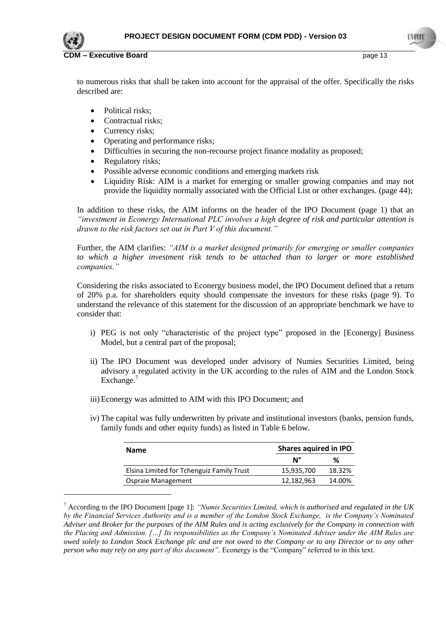

-

**Executive Board CDM 2008 CDM 2008 CDM 2009 CDM 2009 Page 13** 

to numerous risks that shall be taken into account for the appraisal of the offer. Specifically the risks described are:

- Political risks;
- Contractual risks;
- Currency risks;
- Operating and performance risks;
- Difficulties in securing the non-recourse project finance modality as proposed;
- Regulatory risks;
- Possible adverse economic conditions and emerging markets risk
- Liquidity Risk: AIM is a market for emerging or smaller growing companies and may not provide the liquidity normally associated with the Official List or other exchanges. (page 44);

In addition to these risks, the AIM informs on the header of the IPO Document (page 1) that an *"investment in Econergy International PLC involves a high degree of risk and particular attention is drawn to the risk factors set out in Part V of this document."*

Further, the AIM clarifies: *"AIM is a market designed primarily for emerging or smaller companies to which a higher investment risk tends to be attached than to larger or more established companies."* 

Considering the risks associated to Econergy business model, the IPO Document defined that a return of 20% p.a. for shareholders equity should compensate the investors for these risks (page 9). To understand the relevance of this statement for the discussion of an appropriate benchmark we have to consider that:

- i) PEG is not only "characteristic of the project type" proposed in the [Econergy] Business Model, but a central part of the proposal;
- ii) The IPO Document was developed under advisory of Numies Securities Limited, being advisory a regulated activity in the UK according to the rules of AIM and the London Stock Exchange.<sup>7</sup>
- iii)Econergy was admitted to AIM with this IPO Document; and
- iv) The capital was fully underwritten by private and institutional investors (banks, pension funds, family funds and other equity funds) as listed in Table 6 below.

| <b>Name</b>                               | Shares aquired in IPO |        |
|-------------------------------------------|-----------------------|--------|
|                                           | N°                    | %      |
| Elsina Limited for Tchenguiz Family Trust | 15,935,700            | 18.32% |
| Ospraie Management                        | 12,182,963            | 14.00% |

<sup>7</sup> According to the IPO Document [page 1]: *"Numis Securities Limited, which is authorised and regulated in the UK by the Financial Services Authority and is a member of the London Stock Exchange, is the Company's Nominated Adviser and Broker for the purposes of the AIM Rules and is acting exclusively for the Company in connection with the Placing and Admission. […] Its responsibilities as the Company's Nominated Adviser under the AIM Rules are owed solely to London Stock Exchange plc and are not owed to the Company or to any Director or to any other person who may rely on any part of this document".* Econergy is the "Company" referred to in this text.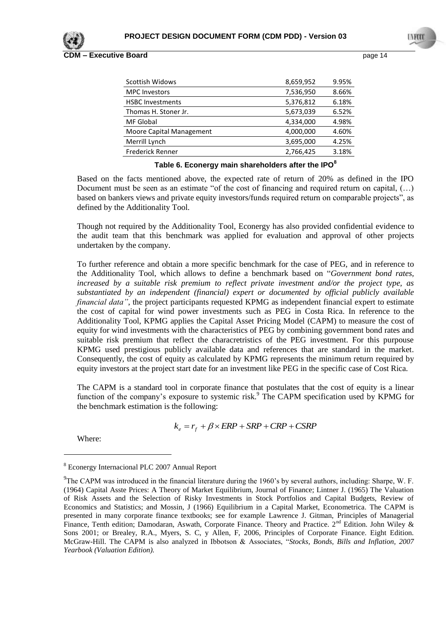**CDM – Executive Board COVID-14 COVID-14 page 14 page 14** 

| 8,659,952 | 9.95% |
|-----------|-------|
| 7,536,950 | 8.66% |
| 5,376,812 | 6.18% |
| 5,673,039 | 6.52% |
| 4,334,000 | 4.98% |
| 4,000,000 | 4.60% |
| 3,695,000 | 4.25% |
| 2,766,425 | 3.18% |
|           |       |

# **Table 6. Econergy main shareholders after the IPO<sup>8</sup>**

Based on the facts mentioned above, the expected rate of return of 20% as defined in the IPO Document must be seen as an estimate "of the cost of financing and required return on capital, (…) based on bankers views and private equity investors/funds required return on comparable projects", as defined by the Additionality Tool.

Though not required by the Additionality Tool, Econergy has also provided confidential evidence to the audit team that this benchmark was applied for evaluation and approval of other projects undertaken by the company.

To further reference and obtain a more specific benchmark for the case of PEG, and in reference to the Additionality Tool, which allows to define a benchmark based on "*Government bond rates, increased by a suitable risk premium to reflect private investment and/or the project type, as substantiated by an independent (financial) expert or documented by official publicly available financial data"*, the project participants requested KPMG as independent financial expert to estimate the cost of capital for wind power investments such as PEG in Costa Rica. In reference to the Additionality Tool, KPMG applies the Capital Asset Pricing Model (CAPM) to measure the cost of equity for wind investments with the characteristics of PEG by combining government bond rates and suitable risk premium that reflect the characretristics of the PEG investment. For this purpouse KPMG used prestigious publicly available data and references that are standard in the market. Consequently, the cost of equity as calculated by KPMG represents the minimum return required by equity investors at the project start date for an investment like PEG in the specific case of Cost Rica.

The CAPM is a standard tool in corporate finance that postulates that the cost of equity is a linear function of the company's exposure to systemic risk.<sup>9</sup> The CAPM specification used by KPMG for the benchmark estimation is the following:

$$
k_e = r_f + \beta \times ERP + SRP + CRP + CSP
$$

Where:

<u>.</u>

<sup>8</sup> Econergy Internacional PLC 2007 Annual Report

<sup>&</sup>lt;sup>9</sup>The CAPM was introduced in the financial literature during the 1960's by several authors, including: Sharpe, W. F. (1964) Capital Asste Prices: A Theory of Market Equilibrium, Journal of Finance; Lintner J. (1965) The Valuation of Risk Assets and the Selection of Risky Investments in Stock Portfolios and Capital Budgets, Review of Economics and Statistics; and Mossin, J (1966) Equilibrium in a Capital Market, Econometrica. The CAPM is presented in many corporate finance textbooks; see for example Lawrence J. Gitman, Principles of Managerial Finance, Tenth edition; Damodaran, Aswath, Corporate Finance. Theory and Practice. 2<sup>nd</sup> Edition. John Wiley & Sons 2001; or Brealey, R.A., Myers, S. C, y Allen, F, 2006, Principles of Corporate Finance. Eight Edition. McGraw-Hill. The CAPM is also analyzed in Ibbotson & Associates, "*Stocks, Bonds, Bills and Inflation, 2007 Yearbook (Valuation Edition).*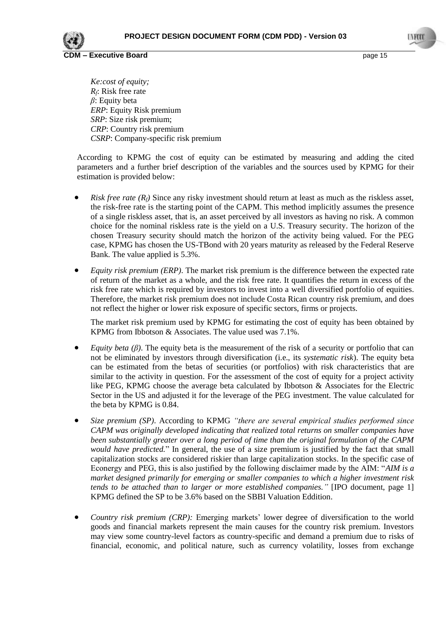

*Ke:cost of equity; Rf* : Risk free rate *β*: Equity beta *ERP*: Equity Risk premium *SRP*: Size risk premium; *CRP*: Country risk premium *CSRP*: Company-specific risk premium

According to KPMG the cost of equity can be estimated by measuring and adding the cited parameters and a further brief description of the variables and the sources used by KPMG for their estimation is provided below:

- *Risk free rate*  $(R_f)$  Since any risky investment should return at least as much as the riskless asset, the risk-free rate is the starting point of the CAPM. This method implicitly assumes the presence of a single riskless asset, that is, an asset perceived by all investors as having no risk. A common choice for the nominal riskless rate is the yield on a U.S. Treasury security. The horizon of the chosen Treasury security should match the horizon of the activity being valued. For the PEG case, KPMG has chosen the US-TBond with 20 years maturity as released by the Federal Reserve Bank. The value applied is 5.3%.
- *Equity risk premium (ERP)*. The market risk premium is the difference between the expected rate of return of the market as a whole, and the risk free rate. It quantifies the return in excess of the risk free rate which is required by investors to invest into a well diversified portfolio of equities. Therefore, the market risk premium does not include Costa Rican country risk premium, and does not reflect the higher or lower risk exposure of specific sectors, firms or projects.

The market risk premium used by KPMG for estimating the cost of equity has been obtained by KPMG from Ibbotson & Associates. The value used was 7.1%.

- *Equity beta (β)*. The equity beta is the measurement of the risk of a security or portfolio that can not be eliminated by investors through diversification (i.e., its *systematic risk*). The equity beta can be estimated from the betas of securities (or portfolios) with risk characteristics that are similar to the activity in question. For the assessment of the cost of equity for a project activity like PEG, KPMG choose the average beta calculated by Ibbotson & Associates for the Electric Sector in the US and adjusted it for the leverage of the PEG investment. The value calculated for the beta by KPMG is 0.84.
- *Size premium (SP)*. According to KPMG *"there are several empirical studies performed since CAPM was originally developed indicating that realized total returns on smaller companies have been substantially greater over a long period of time than the original formulation of the CAPM would have predicted.*" In general, the use of a size premium is justified by the fact that small capitalization stocks are considered riskier than large capitalization stocks. In the specific case of Econergy and PEG, this is also justified by the following disclaimer made by the AIM: "*AIM is a market designed primarily for emerging or smaller companies to which a higher investment risk tends to be attached than to larger or more established companies.*" [IPO document, page 1] KPMG defined the SP to be 3.6% based on the SBBI Valuation Eddition.
- *Country risk premium (CRP):* Emerging markets" lower degree of diversification to the world goods and financial markets represent the main causes for the country risk premium. Investors may view some country-level factors as country-specific and demand a premium due to risks of financial, economic, and political nature, such as currency volatility, losses from exchange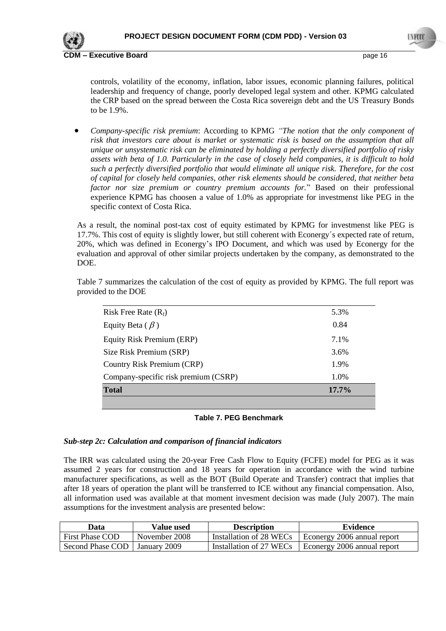

controls, volatility of the economy, inflation, labor issues, economic planning failures, political leadership and frequency of change, poorly developed legal system and other. KPMG calculated the CRP based on the spread between the Costa Rica sovereign debt and the US Treasury Bonds to be 1.9%.

 *Company-specific risk premium*: According to KPMG *"The notion that the only component of risk that investors care about is market or systematic risk is based on the assumption that all unique or unsystematic risk can be eliminated by holding a perfectly diversified portfolio of risky assets with beta of 1.0. Particularly in the case of closely held companies, it is difficult to hold such a perfectly diversified portfolio that would eliminate all unique risk. Therefore, for the cost of capital for closely held companies, other risk elements should be considered, that neither beta factor nor size premium or country premium accounts for.*" Based on their professional experience KPMG has choosen a value of 1.0% as appropriate for investmenst like PEG in the specific context of Costa Rica.

As a result, the nominal post-tax cost of equity estimated by KPMG for investmenst like PEG is 17.7%. This cost of equity is slightly lower, but still coherent with Econergy´s expected rate of return, 20%, which was defined in Econergy"s IPO Document, and which was used by Econergy for the evaluation and approval of other similar projects undertaken by the company, as demonstrated to the DOE.

| 5.3%     |
|----------|
| 0.84     |
| 7.1%     |
| 3.6%     |
| 1.9%     |
| 1.0%     |
| $17.7\%$ |
|          |

Table 7 summarizes the calculation of the cost of equity as provided by KPMG. The full report was provided to the DOE

# **Table 7. PEG Benchmark**

# *Sub-step 2c: Calculation and comparison of financial indicators*

The IRR was calculated using the 20-year Free Cash Flow to Equity (FCFE) model for PEG as it was assumed 2 years for construction and 18 years for operation in accordance with the wind turbine manufacturer specifications, as well as the BOT (Build Operate and Transfer) contract that implies that after 18 years of operation the plant will be transferred to ICE without any financial compensation. Also, all information used was available at that moment invesment decision was made (July 2007). The main assumptions for the investment analysis are presented below:

| Data                            | <b>Value used</b> | <b>Description</b>      | <b>Evidence</b>             |
|---------------------------------|-------------------|-------------------------|-----------------------------|
| <b>First Phase COD</b>          | November 2008     | Installation of 28 WECs | Econergy 2006 annual report |
| Second Phase COD   January 2009 |                   | Installation of 27 WECs | Econergy 2006 annual report |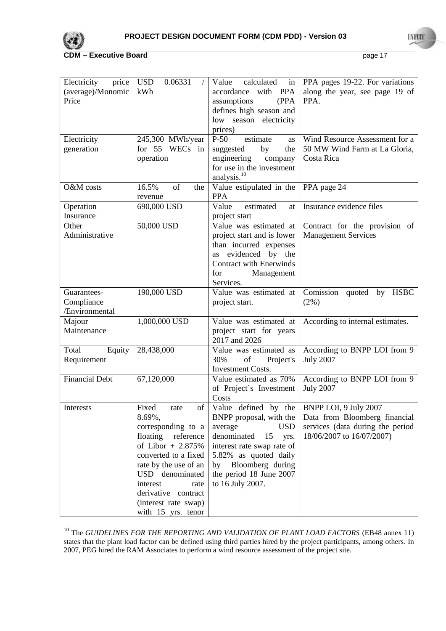

1

**CDM – Executive Board** page 17

| Electricity<br>price<br>(average)/Monomic<br>Price<br>Electricity<br>generation | <b>USD</b><br>0.06331<br>kWh<br>245,300 MWh/year<br>for 55 WECs in<br>operation                                                                                                                                                                                    | Value<br>calculated<br>in<br>with PPA<br>accordance<br>assumptions<br>(PPA<br>defines high season and<br>low season electricity<br>prices)<br>estimate<br>$P-50$<br>as<br>by<br>suggested<br>the<br>engineering<br>company         | PPA pages 19-22. For variations<br>along the year, see page 19 of<br>PPA.<br>Wind Resource Assessment for a<br>50 MW Wind Farm at La Gloria,<br>Costa Rica |
|---------------------------------------------------------------------------------|--------------------------------------------------------------------------------------------------------------------------------------------------------------------------------------------------------------------------------------------------------------------|------------------------------------------------------------------------------------------------------------------------------------------------------------------------------------------------------------------------------------|------------------------------------------------------------------------------------------------------------------------------------------------------------|
| O&M costs                                                                       | 16.5%<br>of<br>the                                                                                                                                                                                                                                                 | for use in the investment<br>analysis. $^{10}$<br>Value estipulated in the                                                                                                                                                         | PPA page 24                                                                                                                                                |
| Operation<br>Insurance                                                          | revenue<br>690,000 USD                                                                                                                                                                                                                                             | <b>PPA</b><br>estimated<br>Value<br>at<br>project start                                                                                                                                                                            | Insurance evidence files                                                                                                                                   |
| Other<br>Administrative                                                         | 50,000 USD                                                                                                                                                                                                                                                         | Value was estimated at<br>project start and is lower<br>than incurred expenses<br>evidenced by the<br>as<br>Contract with Enerwinds<br>Management<br>for<br>Services.                                                              | Contract for the provision of<br><b>Management Services</b>                                                                                                |
| Guarantees-<br>Compliance<br>/Environmental                                     | 190,000 USD                                                                                                                                                                                                                                                        | Value was estimated at<br>project start.                                                                                                                                                                                           | Comission quoted by HSBC<br>$(2\%)$                                                                                                                        |
| Majour<br>Maintenance                                                           | 1,000,000 USD                                                                                                                                                                                                                                                      | Value was estimated at<br>project start for years<br>2017 and 2026                                                                                                                                                                 | According to internal estimates.                                                                                                                           |
| Total<br>Equity<br>Requirement                                                  | 28,438,000                                                                                                                                                                                                                                                         | Value was estimated as<br>30%<br>of<br>Project's<br><b>Investment Costs.</b>                                                                                                                                                       | According to BNPP LOI from 9<br><b>July 2007</b>                                                                                                           |
| <b>Financial Debt</b>                                                           | 67,120,000                                                                                                                                                                                                                                                         | Value estimated as 70%<br>of Project's Investment<br>Costs                                                                                                                                                                         | According to BNPP LOI from 9<br><b>July 2007</b>                                                                                                           |
| Interests                                                                       | Fixed<br>$\sigma$<br>rate<br>8.69%,<br>corresponding to a<br>floating reference<br>of Libor $+2.875%$<br>converted to a fixed<br>rate by the use of an<br>USD denominated<br>interest<br>rate<br>derivative contract<br>(interest rate swap)<br>with 15 yrs. tenor | Value defined by the<br>BNPP proposal, with the<br><b>USD</b><br>average<br>denominated<br>15<br>yrs.<br>interest rate swap rate of<br>5.82% as quoted daily<br>by Bloomberg during<br>the period 18 June 2007<br>to 16 July 2007. | BNPP LOI, 9 July 2007<br>Data from Bloomberg financial<br>services (data during the period<br>18/06/2007 to 16/07/2007)                                    |

<sup>&</sup>lt;sup>10</sup> The *GUIDELINES FOR THE REPORTING AND VALIDATION OF PLANT LOAD FACTORS* (EB48 annex 11) states that the plant load factor can be defined using third parties hired by the project participants, among others. In 2007, PEG hired the RAM Associates to perform a wind resource assessment of the project site.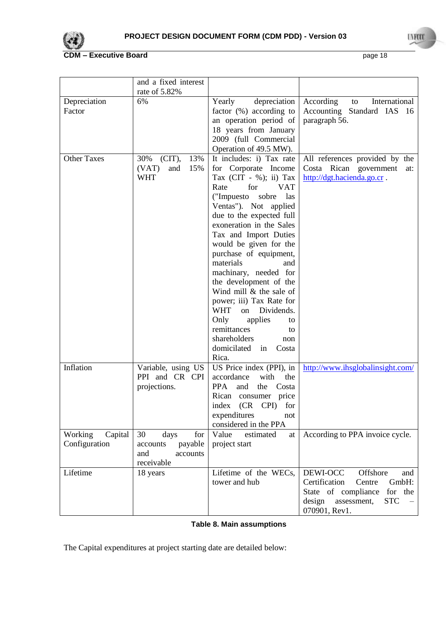

|                                     | and a fixed interest                                                      |                                                                                                                                                                                                                                                                                                                                                                                                                                                                                                                                                                                          |                                                                                                                                                           |
|-------------------------------------|---------------------------------------------------------------------------|------------------------------------------------------------------------------------------------------------------------------------------------------------------------------------------------------------------------------------------------------------------------------------------------------------------------------------------------------------------------------------------------------------------------------------------------------------------------------------------------------------------------------------------------------------------------------------------|-----------------------------------------------------------------------------------------------------------------------------------------------------------|
|                                     | rate of 5.82%                                                             |                                                                                                                                                                                                                                                                                                                                                                                                                                                                                                                                                                                          |                                                                                                                                                           |
| Depreciation<br>Factor              | 6%                                                                        | Yearly<br>depreciation<br>factor (%) according to<br>an operation period of<br>18 years from January<br>2009 (full Commercial<br>Operation of 49.5 MW).                                                                                                                                                                                                                                                                                                                                                                                                                                  | According<br>International<br>to<br>Accounting Standard IAS 16<br>paragraph 56.                                                                           |
| <b>Other Taxes</b>                  | (CIT),<br>13%<br>30%<br>15%<br>(VAT)<br>and<br><b>WHT</b>                 | It includes: i) Tax rate<br>for Corporate Income<br>Tax (CIT - %); ii) Tax<br>Rate<br>for<br><b>VAT</b><br>("Impuesto<br>sobre<br><i>las</i><br>Ventas"). Not applied<br>due to the expected full<br>exoneration in the Sales<br>Tax and Import Duties<br>would be given for the<br>purchase of equipment,<br>materials<br>and<br>machinary, needed for<br>the development of the<br>Wind mill $&$ the sale of<br>power; iii) Tax Rate for<br><b>WHT</b><br>Dividends.<br>on<br>Only<br>applies<br>to<br>remittances<br>to<br>shareholders<br>non<br>domicilated<br>Costa<br>in<br>Rica. | All references provided by the<br>Costa Rican government<br>at:<br>http://dgt.hacienda.go.cr.                                                             |
| Inflation                           | Variable, using US<br>PPI and CR CPI<br>projections.                      | US Price index (PPI), in<br>accordance<br>with<br>the<br>PPA<br>the Costa<br>and<br>Rican consumer price<br>(CR CPI) for<br>index<br>expenditures<br>not<br>considered in the PPA                                                                                                                                                                                                                                                                                                                                                                                                        | http://www.ihsglobalinsight.com/                                                                                                                          |
| Working<br>Capital<br>Configuration | 30<br>for<br>days<br>payable<br>accounts<br>and<br>accounts<br>receivable | Value<br>estimated<br>at<br>project start                                                                                                                                                                                                                                                                                                                                                                                                                                                                                                                                                | According to PPA invoice cycle.                                                                                                                           |
| Lifetime                            | 18 years                                                                  | Lifetime of the WECs,<br>tower and hub                                                                                                                                                                                                                                                                                                                                                                                                                                                                                                                                                   | Offshore<br>DEWI-OCC<br>and<br>Certification<br>GmbH:<br>Centre<br>State of compliance<br>for the<br>design<br><b>STC</b><br>assessment,<br>070901, Rev1. |

# **Table 8. Main assumptions**

The Capital expenditures at project starting date are detailed below: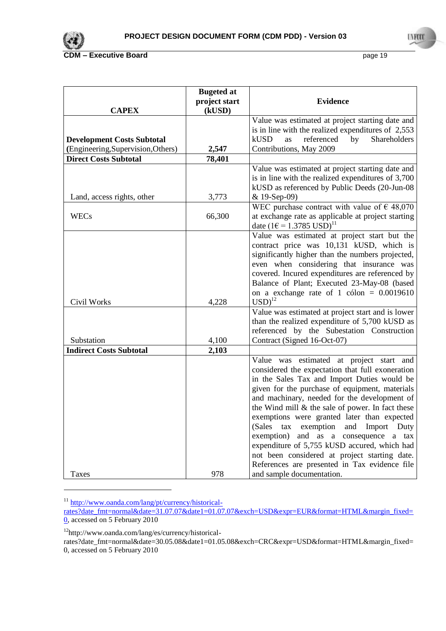

|                                                                         | <b>Bugeted at</b><br>project start | <b>Evidence</b>                                                                                                                                                                                                                                                                                                                                                                                                                                                                                                                                                                                                |
|-------------------------------------------------------------------------|------------------------------------|----------------------------------------------------------------------------------------------------------------------------------------------------------------------------------------------------------------------------------------------------------------------------------------------------------------------------------------------------------------------------------------------------------------------------------------------------------------------------------------------------------------------------------------------------------------------------------------------------------------|
| <b>CAPEX</b>                                                            | (kUSD)                             |                                                                                                                                                                                                                                                                                                                                                                                                                                                                                                                                                                                                                |
| <b>Development Costs Subtotal</b><br>(Engineering, Supervision, Others) | 2,547                              | Value was estimated at project starting date and<br>is in line with the realized expenditures of $2,553$<br>kUSD<br>referenced<br>Shareholders<br>by<br>as<br>Contributions, May 2009                                                                                                                                                                                                                                                                                                                                                                                                                          |
| <b>Direct Costs Subtotal</b>                                            | 78,401                             |                                                                                                                                                                                                                                                                                                                                                                                                                                                                                                                                                                                                                |
|                                                                         |                                    | Value was estimated at project starting date and<br>is in line with the realized expenditures of 3,700<br>kUSD as referenced by Public Deeds (20-Jun-08                                                                                                                                                                                                                                                                                                                                                                                                                                                        |
| Land, access rights, other                                              | 3,773                              | & 19-Sep-09)                                                                                                                                                                                                                                                                                                                                                                                                                                                                                                                                                                                                   |
| <b>WECs</b>                                                             | 66,300                             | WEC purchase contract with value of $\epsilon$ 48,070<br>at exchange rate as applicable at project starting<br>date $(1 \in 1.3785 \text{ USD})^{11}$                                                                                                                                                                                                                                                                                                                                                                                                                                                          |
| Civil Works                                                             | 4,228                              | Value was estimated at project start but the<br>contract price was 10,131 kUSD, which is<br>significantly higher than the numbers projected,<br>even when considering that insurance was<br>covered. Incured expenditures are referenced by<br>Balance of Plant; Executed 23-May-08 (based<br>on a exchange rate of 1 cólon = $0.0019610$<br>$\text{USD}^{12}$                                                                                                                                                                                                                                                 |
| Substation                                                              | 4,100                              | Value was estimated at project start and is lower<br>than the realized expenditure of 5,700 kUSD as<br>referenced by the Subestation Construction<br>Contract (Signed 16-Oct-07)                                                                                                                                                                                                                                                                                                                                                                                                                               |
| <b>Indirect Costs Subtotal</b>                                          | 2,103                              |                                                                                                                                                                                                                                                                                                                                                                                                                                                                                                                                                                                                                |
|                                                                         |                                    | Value was estimated at project start and<br>considered the expectation that full exoneration<br>in the Sales Tax and Import Duties would be<br>given for the purchase of equipment, materials<br>and machinary, needed for the development of<br>the Wind mill $\&$ the sale of power. In fact these<br>exemptions were granted later than expected<br>(Sales<br>and<br>exemption<br>Import<br>Duty<br>tax<br>exemption)<br>and as a consequence<br>tax<br>a<br>expenditure of 5,755 kUSD accured, which had<br>not been considered at project starting date.<br>References are presented in Tax evidence file |
| Taxes                                                                   | 978                                | and sample documentation.                                                                                                                                                                                                                                                                                                                                                                                                                                                                                                                                                                                      |

<sup>&</sup>lt;sup>11</sup> [http://www.oanda.com/lang/pt/currency/historical-](http://www.oanda.com/lang/pt/currency/historical-rates?date_fmt=normal&date=31.07.07&date1=01.07.07&exch=USD&expr=EUR&format=HTML&margin_fixed=0)

-

[rates?date\\_fmt=normal&date=31.07.07&date1=01.07.07&exch=USD&expr=EUR&format=HTML&margin\\_fixed=](http://www.oanda.com/lang/pt/currency/historical-rates?date_fmt=normal&date=31.07.07&date1=01.07.07&exch=USD&expr=EUR&format=HTML&margin_fixed=0) [0,](http://www.oanda.com/lang/pt/currency/historical-rates?date_fmt=normal&date=31.07.07&date1=01.07.07&exch=USD&expr=EUR&format=HTML&margin_fixed=0) accessed on 5 February 2010

<sup>12</sup>http://www.oanda.com/lang/es/currency/historical-

rates?date\_fmt=normal&date=30.05.08&date1=01.05.08&exch=CRC&expr=USD&format=HTML&margin\_fixed= 0, accessed on 5 February 2010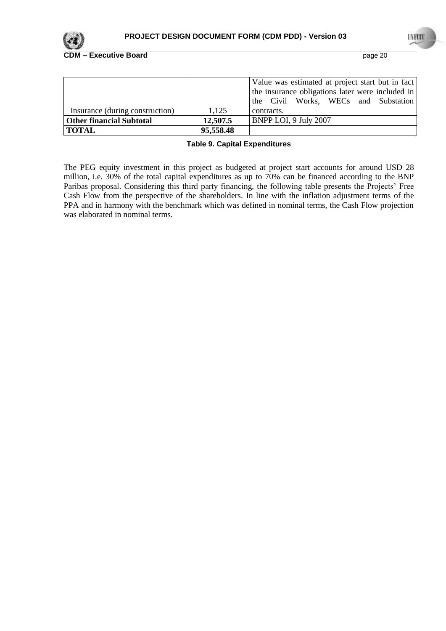

|                                 |           | Value was estimated at project start but in fact |
|---------------------------------|-----------|--------------------------------------------------|
|                                 |           | the insurance obligations later were included in |
|                                 |           | the Civil Works, WECs and Substation             |
| Insurance (during construction) | 1.125     | contracts.                                       |
| <b>Other financial Subtotal</b> | 12,507.5  | <b>BNPP LOI, 9 July 2007</b>                     |
| <b>TOTAL</b>                    | 95,558.48 |                                                  |

#### **Table 9. Capital Expenditures**

The PEG equity investment in this project as budgeted at project start accounts for around USD 28 million, i.e. 30% of the total capital expenditures as up to 70% can be financed according to the BNP Paribas proposal. Considering this third party financing, the following table presents the Projects' Free Cash Flow from the perspective of the shareholders. In line with the inflation adjustment terms of the PPA and in harmony with the benchmark which was defined in nominal terms, the Cash Flow projection was elaborated in nominal terms.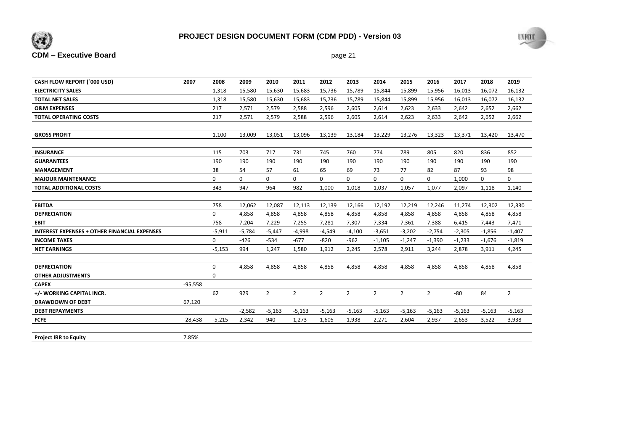



| CASH FLOW REPORT ('000 USD)                         | 2007      | 2008         | 2009        | 2010           | 2011           | 2012           | 2013           | 2014           | 2015           | 2016           | 2017     | 2018         | 2019         |
|-----------------------------------------------------|-----------|--------------|-------------|----------------|----------------|----------------|----------------|----------------|----------------|----------------|----------|--------------|--------------|
| <b>ELECTRICITY SALES</b>                            |           | 1,318        | 15,580      | 15,630         | 15,683         | 15,736         | 15,789         | 15,844         | 15,899         | 15,956         | 16,013   | 16,072       | 16,132       |
| <b>TOTAL NET SALES</b>                              |           | 1,318        | 15,580      | 15,630         | 15,683         | 15,736         | 15,789         | 15,844         | 15,899         | 15,956         | 16,013   | 16,072       | 16,132       |
| <b>O&amp;M EXPENSES</b>                             |           | 217          | 2,571       | 2,579          | 2,588          | 2,596          | 2,605          | 2,614          | 2,623          | 2,633          | 2,642    | 2,652        | 2,662        |
| <b>TOTAL OPERATING COSTS</b>                        |           | 217          | 2,571       | 2,579          | 2,588          | 2,596          | 2,605          | 2,614          | 2,623          | 2,633          | 2,642    | 2,652        | 2,662        |
|                                                     |           |              |             |                |                |                |                |                |                |                |          |              |              |
| <b>GROSS PROFIT</b>                                 |           | 1.100        | 13,009      | 13,051         | 13,096         | 13,139         | 13,184         | 13,229         | 13,276         | 13,323         | 13,371   | 13,420       | 13,470       |
|                                                     |           |              |             |                |                |                |                |                |                |                |          |              |              |
| <b>INSURANCE</b>                                    |           | 115          | 703         | 717            | 731            | 745            | 760            | 774            | 789            | 805            | 820      | 836          | 852          |
| <b>GUARANTEES</b>                                   |           | 190          | 190         | 190            | 190            | 190            | 190            | 190            | 190            | 190            | 190      | 190          | 190          |
| <b>MANAGEMENT</b>                                   |           | 38           | 54          | 57             | 61             | 65             | 69             | 73             | 77             | 82             | 87       | 93           | 98           |
| <b>MAJOUR MAINTENANCE</b>                           |           | $\mathbf{0}$ | $\mathbf 0$ | $\mathbf 0$    | $\mathbf 0$    | $\mathbf{0}$   | $\mathbf 0$    | $\mathbf 0$    | 0              | $\mathbf{0}$   | 1,000    | $\mathbf{0}$ | 0            |
| <b>TOTAL ADDITIONAL COSTS</b>                       |           | 343          | 947         | 964            | 982            | 1,000          | 1,018          | 1,037          | 1,057          | 1,077          | 2,097    | 1,118        | 1,140        |
|                                                     |           |              |             |                |                |                |                |                |                |                |          |              |              |
| <b>EBITDA</b>                                       |           | 758          | 12,062      | 12,087         | 12,113         | 12,139         | 12,166         | 12,192         | 12,219         | 12,246         | 11,274   | 12,302       | 12,330       |
| <b>DEPRECIATION</b>                                 |           | $\mathbf{0}$ | 4,858       | 4,858          | 4,858          | 4,858          | 4,858          | 4,858          | 4,858          | 4,858          | 4,858    | 4,858        | 4,858        |
| <b>EBIT</b>                                         |           | 758          | 7,204       | 7,229          | 7,255          | 7,281          | 7,307          | 7,334          | 7,361          | 7,388          | 6,415    | 7,443        | 7,471        |
| <b>INTEREST EXPENSES + OTHER FINANCIAL EXPENSES</b> |           | $-5,911$     | $-5,784$    | $-5,447$       | $-4,998$       | $-4,549$       | $-4,100$       | $-3,651$       | $-3,202$       | $-2,754$       | $-2,305$ | $-1,856$     | $-1,407$     |
| <b>INCOME TAXES</b>                                 |           | 0            | $-426$      | $-534$         | $-677$         | $-820$         | $-962$         | $-1,105$       | $-1,247$       | $-1,390$       | $-1,233$ | $-1,676$     | $-1,819$     |
| <b>NET EARNINGS</b>                                 |           | $-5,153$     | 994         | 1,247          | 1,580          | 1,912          | 2,245          | 2,578          | 2,911          | 3,244          | 2,878    | 3,911        | 4,245        |
|                                                     |           |              |             |                |                |                |                |                |                |                |          |              |              |
| <b>DEPRECIATION</b>                                 |           | $\mathbf{0}$ | 4,858       | 4,858          | 4,858          | 4,858          | 4,858          | 4,858          | 4,858          | 4,858          | 4,858    | 4,858        | 4,858        |
| <b>OTHER ADJUSTMENTS</b>                            |           | $\mathbf{0}$ |             |                |                |                |                |                |                |                |          |              |              |
| <b>CAPEX</b>                                        | $-95,558$ |              |             |                |                |                |                |                |                |                |          |              |              |
| +/- WORKING CAPITAL INCR.                           |           | 62           | 929         | $\overline{2}$ | $\overline{2}$ | $\overline{2}$ | $\overline{2}$ | $\overline{2}$ | $\overline{2}$ | $\overline{2}$ | -80      | 84           | $\mathbf{2}$ |
| <b>DRAWDOWN OF DEBT</b>                             | 67,120    |              |             |                |                |                |                |                |                |                |          |              |              |
| <b>DEBT REPAYMENTS</b>                              |           |              | $-2,582$    | $-5,163$       | $-5,163$       | $-5,163$       | $-5,163$       | $-5,163$       | $-5,163$       | $-5,163$       | $-5,163$ | $-5,163$     | $-5,163$     |
| <b>FCFE</b>                                         | $-28,438$ | $-5,215$     | 2,342       | 940            | 1,273          | 1,605          | 1,938          | 2,271          | 2,604          | 2,937          | 2,653    | 3,522        | 3,938        |
|                                                     |           |              |             |                |                |                |                |                |                |                |          |              |              |
| <b>Project IRR to Equity</b>                        | 7.85%     |              |             |                |                |                |                |                |                |                |          |              |              |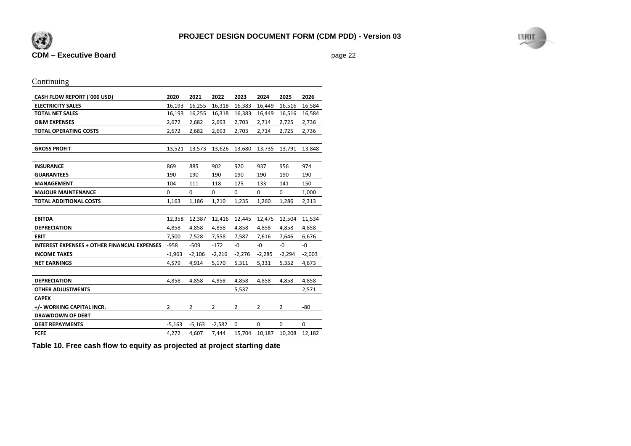



# Continuing

| <b>CASH FLOW REPORT ('000 USD)</b>                  | 2020           | 2021           | 2022           | 2023           | 2024           | 2025           | 2026     |
|-----------------------------------------------------|----------------|----------------|----------------|----------------|----------------|----------------|----------|
| <b>ELECTRICITY SALES</b>                            | 16,193         | 16,255         | 16,318         | 16,383         | 16,449         | 16,516         | 16,584   |
| <b>TOTAL NET SALES</b>                              | 16,193         | 16,255         | 16,318         | 16,383         | 16,449         | 16,516         | 16,584   |
| <b>O&amp;M EXPENSES</b>                             | 2,672          | 2,682          | 2,693          | 2,703          | 2,714          | 2,725          | 2,736    |
| <b>TOTAL OPERATING COSTS</b>                        | 2,672          | 2,682          | 2,693          | 2,703          | 2,714          | 2,725          | 2,736    |
|                                                     |                |                |                |                |                |                |          |
| <b>GROSS PROFIT</b>                                 | 13,521         | 13,573         | 13,626         | 13,680         | 13,735         | 13,791         | 13,848   |
|                                                     |                |                |                |                |                |                |          |
| <b>INSURANCE</b>                                    | 869            | 885            | 902            | 920            | 937            | 956            | 974      |
| <b>GUARANTEES</b>                                   | 190            | 190            | 190            | 190            | 190            | 190            | 190      |
| <b>MANAGEMENT</b>                                   | 104            | 111            | 118            | 125            | 133            | 141            | 150      |
| <b>MAJOUR MAINTENANCE</b>                           | $\mathbf 0$    | $\mathbf 0$    | $\mathbf 0$    | $\mathbf 0$    | $\mathbf 0$    | 0              | 1,000    |
| <b>TOTAL ADDITIONAL COSTS</b>                       | 1,163          | 1,186          | 1,210          | 1,235          | 1,260          | 1,286          | 2,313    |
|                                                     |                |                |                |                |                |                |          |
| <b>EBITDA</b>                                       | 12,358         | 12,387         | 12,416         | 12,445         | 12,475         | 12,504         | 11,534   |
| <b>DEPRECIATION</b>                                 | 4,858          | 4,858          | 4,858          | 4,858          | 4,858          | 4,858          | 4,858    |
| <b>EBIT</b>                                         | 7,500          | 7,528          | 7,558          | 7,587          | 7,616          | 7,646          | 6,676    |
| <b>INTEREST EXPENSES + OTHER FINANCIAL EXPENSES</b> | $-958$         | $-509$         | $-172$         | -0             | -0             | -0             | -0       |
| <b>INCOME TAXES</b>                                 | $-1,963$       | $-2,106$       | $-2,216$       | $-2,276$       | $-2,285$       | $-2,294$       | $-2,003$ |
| <b>NET EARNINGS</b>                                 | 4,579          | 4,914          | 5,170          | 5,311          | 5,331          | 5,352          | 4,673    |
|                                                     |                |                |                |                |                |                |          |
| <b>DEPRECIATION</b>                                 | 4,858          | 4,858          | 4,858          | 4,858          | 4,858          | 4,858          | 4,858    |
| <b>OTHER ADJUSTMENTS</b>                            |                |                |                | 5,537          |                |                | 2,571    |
| <b>CAPEX</b>                                        |                |                |                |                |                |                |          |
| +/- WORKING CAPITAL INCR.                           | $\overline{2}$ | $\overline{2}$ | $\overline{2}$ | $\overline{2}$ | $\overline{2}$ | $\overline{2}$ | $-80$    |
| <b>DRAWDOWN OF DEBT</b>                             |                |                |                |                |                |                |          |
| <b>DEBT REPAYMENTS</b>                              | $-5,163$       | $-5,163$       | $-2,582$       | 0              | 0              | 0              | 0        |
| <b>FCFE</b>                                         | 4,272          | 4,607          | 7,444          | 15,704         | 10,187         | 10,208         | 12,182   |

**Table 10. Free cash flow to equity as projected at project starting date**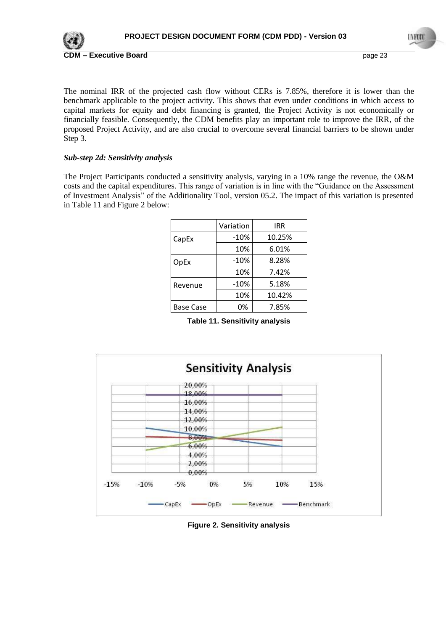

The nominal IRR of the projected cash flow without CERs is 7.85%, therefore it is lower than the benchmark applicable to the project activity. This shows that even under conditions in which access to capital markets for equity and debt financing is granted, the Project Activity is not economically or financially feasible. Consequently, the CDM benefits play an important role to improve the IRR, of the proposed Project Activity, and are also crucial to overcome several financial barriers to be shown under Step 3.

## *Sub-step 2d: Sensitivity analysis*

The Project Participants conducted a sensitivity analysis, varying in a 10% range the revenue, the O&M costs and the capital expenditures. This range of variation is in line with the "Guidance on the Assessment of Investment Analysis" of the Additionality Tool, version 05.2. The impact of this variation is presented in [Table 11](#page-22-0) and [Figure 2](#page-22-1) below:

|                  | Variation | <b>IRR</b> |
|------------------|-----------|------------|
| CapEx            | $-10%$    | 10.25%     |
|                  | 10%       | 6.01%      |
| OpEx             | $-10%$    | 8.28%      |
|                  | 10%       | 7.42%      |
| Revenue          | $-10%$    | 5.18%      |
|                  | 10%       | 10.42%     |
| <b>Base Case</b> | 0%        | 7.85%      |

**Table 11. Sensitivity analysis**

<span id="page-22-0"></span>

<span id="page-22-1"></span>**Figure 2. Sensitivity analysis**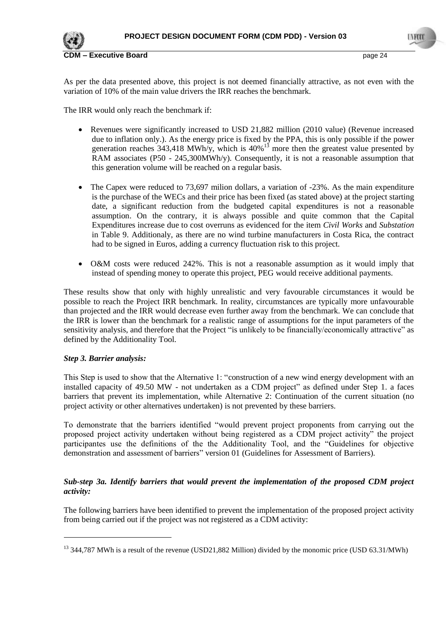

As per the data presented above, this project is not deemed financially attractive, as not even with the variation of 10% of the main value drivers the IRR reaches the benchmark.

The IRR would only reach the benchmark if:

- Revenues were significantly increased to USD 21,882 million (2010 value) (Revenue increased due to inflation only.). As the energy price is fixed by the PPA, this is only possible if the power generation reaches  $343,418$  MWh/y, which is  $40\%$ <sup>13</sup> more then the greatest value presented by RAM associates (P50 - 245,300MWh/y). Consequently, it is not a reasonable assumption that this generation volume will be reached on a regular basis.
- The Capex were reduced to 73,697 milion dollars, a variation of -23%. As the main expenditure is the purchase of the WECs and their price has been fixed (as stated above) at the project starting date, a significant reduction from the budgeted capital expenditures is not a reasonable assumption. On the contrary, it is always possible and quite common that the Capital Expenditures increase due to cost overruns as evidenced for the item *Civil Works* and *Substation* in Table 9. Additionaly, as there are no wind turbine manufacturers in Costa Rica, the contract had to be signed in Euros, adding a currency fluctuation risk to this project.
- O&M costs were reduced 242%. This is not a reasonable assumption as it would imply that instead of spending money to operate this project, PEG would receive additional payments.

These results show that only with highly unrealistic and very favourable circumstances it would be possible to reach the Project IRR benchmark. In reality, circumstances are typically more unfavourable than projected and the IRR would decrease even further away from the benchmark. We can conclude that the IRR is lower than the benchmark for a realistic range of assumptions for the input parameters of the sensitivity analysis, and therefore that the Project "is unlikely to be financially/economically attractive" as defined by the Additionality Tool.

# *Step 3. Barrier analysis:*

-

This Step is used to show that the Alternative 1: "construction of a new wind energy development with an installed capacity of 49.50 MW - not undertaken as a CDM project" as defined under Step 1. a faces barriers that prevent its implementation, while Alternative 2: Continuation of the current situation (no project activity or other alternatives undertaken) is not prevented by these barriers.

To demonstrate that the barriers identified "would prevent project proponents from carrying out the proposed project activity undertaken without being registered as a CDM project activity" the project participantes use the definitions of the the Additionality Tool, and the "Guidelines for objective demonstration and assessment of barriers" version 01 (Guidelines for Assessment of Barriers).

# *Sub-step 3a. Identify barriers that would prevent the implementation of the proposed CDM project activity:*

The following barriers have been identified to prevent the implementation of the proposed project activity from being carried out if the project was not registered as a CDM activity:

<sup>&</sup>lt;sup>13</sup> 344,787 MWh is a result of the revenue (USD21,882 Million) divided by the monomic price (USD 63.31/MWh)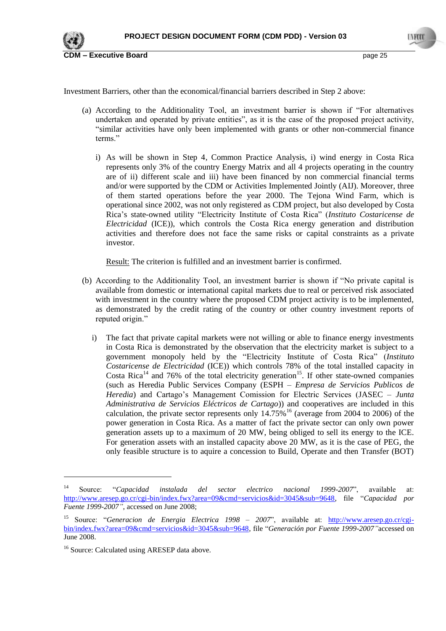

Investment Barriers, other than the economical/financial barriers described in Step 2 above:

- (a) According to the Additionality Tool, an investment barrier is shown if "For alternatives undertaken and operated by private entities", as it is the case of the proposed project activity, "similar activities have only been implemented with grants or other non-commercial finance terms."
	- i) As will be shown in Step 4, Common Practice Analysis, i) wind energy in Costa Rica represents only 3% of the country Energy Matrix and all 4 projects operating in the country are of ii) different scale and iii) have been financed by non commercial financial terms and/or were supported by the CDM or Activities Implemented Jointly (AIJ). Moreover, three of them started operations before the year 2000. The Tejona Wind Farm, which is operational since 2002, was not only registered as CDM project, but also developed by Costa Rica"s state-owned utility "Electricity Institute of Costa Rica" (*Instituto Costaricense de Electricidad* (ICE)), which controls the Costa Rica energy generation and distribution activities and therefore does not face the same risks or capital constraints as a private investor.

Result: The criterion is fulfilled and an investment barrier is confirmed.

- (b) According to the Additionality Tool, an investment barrier is shown if "No private capital is available from domestic or international capital markets due to real or perceived risk associated with investment in the country where the proposed CDM project activity is to be implemented, as demonstrated by the credit rating of the country or other country investment reports of reputed origin."
	- i) The fact that private capital markets were not willing or able to finance energy investments in Costa Rica is demonstrated by the observation that the electricity market is subject to a government monopoly held by the "Electricity Institute of Costa Rica" (*Instituto Costaricense de Electricidad* (ICE)) which controls 78% of the total installed capacity in Costa Rica<sup>14</sup> and 76% of the total electricity generation<sup>15</sup>. If other state-owned companies (such as Heredia Public Services Company (ESPH – *Empresa de Servicios Publicos de Heredia*) and Cartago"s Management Comission for Electric Services (JASEC – *Junta Administrativa de Servicios Eléctricos de Cartago*)) and cooperatives are included in this calculation, the private sector represents only  $14.75\%$ <sup>16</sup> (average from 2004 to 2006) of the power generation in Costa Rica. As a matter of fact the private sector can only own power generation assets up to a maximum of 20 MW, being obliged to sell its energy to the ICE. For generation assets with an installed capacity above 20 MW, as it is the case of PEG, the only feasible structure is to aquire a concession to Build, Operate and then Transfer (BOT)

-

<sup>14</sup> Source: "*Capacidad instalada del sector electrico nacional 1999-2007*", available at: [http://www.aresep.go.cr/cgi-bin/index.fwx?area=09&cmd=servicios&id=3045&sub=9648,](http://www.aresep.go.cr/cgi-bin/index.fwx?area=09&cmd=servicios&id=3045&sub=9648) file "*Capacidad por Fuente 1999-2007"*, accessed on June 2008;

<sup>15</sup> Source: "*Generacion de Energia Electrica 1998 – 2007*", available at: [http://www.aresep.go.cr/cgi](http://www.aresep.go.cr/cgi-bin/index.fwx?area=09&cmd=servicios&id=3045&sub=9648)[bin/index.fwx?area=09&cmd=servicios&id=3045&sub=9648,](http://www.aresep.go.cr/cgi-bin/index.fwx?area=09&cmd=servicios&id=3045&sub=9648) file "*Generación por Fuente 1999-2007"*accessed on June 2008.

<sup>&</sup>lt;sup>16</sup> Source: Calculated using ARESEP data above.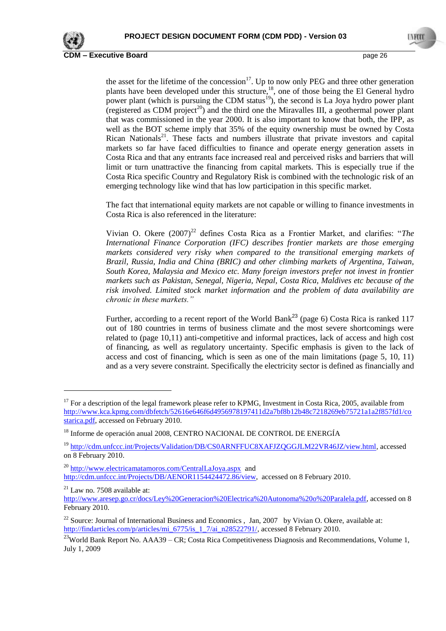

the asset for the lifetime of the concession<sup>17</sup>. Up to now only PEG and three other generation plants have been developed under this structure,<sup>18</sup>, one of those being the El General hydro power plant (which is pursuing the CDM status<sup>19</sup>), the second is La Joya hydro power plant (registered as CDM project<sup>20</sup>) and the third one the Miravalles III, a geothermal power plant that was commissioned in the year 2000. It is also important to know that both, the IPP, as well as the BOT scheme imply that 35% of the equity ownership must be owned by Costa Rican Nationals<sup>21</sup>. These facts and numbers illustrate that private investors and capital markets so far have faced difficulties to finance and operate energy generation assets in Costa Rica and that any entrants face increased real and perceived risks and barriers that will limit or turn unattractive the financing from capital markets. This is especially true if the Costa Rica specific Country and Regulatory Risk is combined with the technologic risk of an emerging technology like wind that has low participation in this specific market.

The fact that international equity markets are not capable or willing to finance investments in Costa Rica is also referenced in the literature:

Vivian O. Okere (2007)<sup>22</sup> defines Costa Rica as a Frontier Market, and clarifies: "The *International Finance Corporation (IFC) describes frontier markets are those emerging markets considered very risky when compared to the transitional emerging markets of Brazil, Russia, India and China (BRIC) and other climbing markets of Argentina, Taiwan, South Korea, Malaysia and Mexico etc. Many foreign investors prefer not invest in frontier markets such as Pakistan, Senegal, Nigeria, Nepal, Costa Rica, Maldives etc because of the risk involved. Limited stock market information and the problem of data availability are chronic in these markets."*

Further, according to a recent report of the World Bank<sup>23</sup> (page 6) Costa Rica is ranked 117 out of 180 countries in terms of business climate and the most severe shortcomings were related to (page 10,11) anti-competitive and informal practices, lack of access and high cost of financing, as well as regulatory uncertainty. Specific emphasis is given to the lack of access and cost of financing, which is seen as one of the main limitations (page 5, 10, 11) and as a very severe constraint. Specifically the electricity sector is defined as financially and

<sup>20</sup> <http://www.electricamatamoros.com/CentralLaJoya.aspx>and [http://cdm.unfccc.int/Projects/DB/AENOR1154424472.86/view,](http://cdm.unfccc.int/Projects/DB/AENOR1154424472.86/view) accessed on 8 February 2010.

<u>.</u>

 $17$  For a description of the legal framework please refer to KPMG, Investment in Costa Rica, 2005, available from [http://www.kca.kpmg.com/dbfetch/52616e646f6d4956978197411d2a7bf8b12b48c7218269eb75721a1a2f857fd1/co](http://www.kca.kpmg.com/dbfetch/52616e646f6d4956978197411d2a7bf8b12b48c7218269eb75721a1a2f857fd1/costarica.pdf) [starica.pdf,](http://www.kca.kpmg.com/dbfetch/52616e646f6d4956978197411d2a7bf8b12b48c7218269eb75721a1a2f857fd1/costarica.pdf) accessed on February 2010.

<sup>&</sup>lt;sup>18</sup> Informe de operación anual 2008, CENTRO NACIONAL DE CONTROL DE ENERGÍA

<sup>19</sup> [http://cdm.unfccc.int/Projects/Validation/DB/CS0ARNFFUC8XAFJZQGGJLM22VR46JZ/view.html,](http://cdm.unfccc.int/Projects/Validation/DB/CS0ARNFFUC8XAFJZQGGJLM22VR46JZ/view.html) accessed on 8 February 2010.

 $21$  Law no. 7508 available at:

[http://www.aresep.go.cr/docs/Ley%20Generacion%20Electrica%20Autonoma%20o%20Paralela.pdf,](http://www.aresep.go.cr/docs/Ley%20Generacion%20Electrica%20Autonoma%20o%20Paralela.pdf) accessed on 8 February 2010.

 $22$  Source: Journal of International Business and Economics, Jan, 2007 by Vivian O. Okere, available at: [http://findarticles.com/p/articles/mi\\_6775/is\\_1\\_7/ai\\_n28522791/,](http://findarticles.com/p/articles/mi_6775/is_1_7/ai_n28522791/) accessed 8 February 2010.

<sup>&</sup>lt;sup>23</sup>World Bank Report No. AAA39 – CR; Costa Rica Competitiveness Diagnosis and Recommendations, Volume 1, July 1, 2009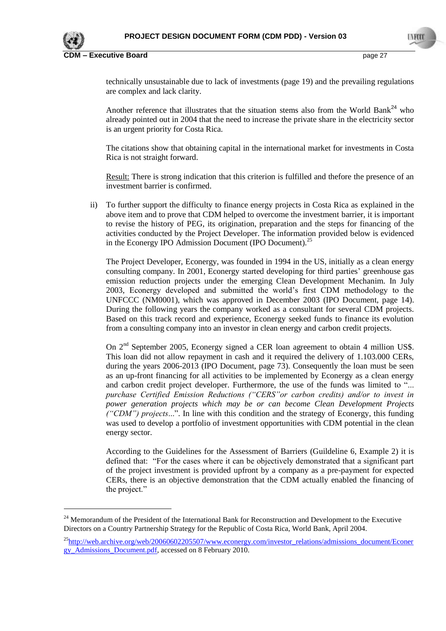

<u>.</u>

**CDM – Executive Board** page 27

technically unsustainable due to lack of investments (page 19) and the prevailing regulations are complex and lack clarity.

Another reference that illustrates that the situation stems also from the World Bank<sup>24</sup> who already pointed out in 2004 that the need to increase the private share in the electricity sector is an urgent priority for Costa Rica.

The citations show that obtaining capital in the international market for investments in Costa Rica is not straight forward.

Result: There is strong indication that this criterion is fulfilled and thefore the presence of an investment barrier is confirmed.

ii) To further support the difficulty to finance energy projects in Costa Rica as explained in the above item and to prove that CDM helped to overcome the investment barrier, it is important to revise the history of PEG, its origination, preparation and the steps for financing of the activities conducted by the Project Developer. The information provided below is evidenced in the Econergy IPO Admission Document (IPO Document).<sup>25</sup>

The Project Developer, Econergy, was founded in 1994 in the US, initially as a clean energy consulting company. In 2001, Econergy started developing for third parties" greenhouse gas emission reduction projects under the emerging Clean Development Mechanim. In July 2003, Econergy developed and submitted the world"s first CDM methodology to the UNFCCC (NM0001), which was approved in December 2003 (IPO Document, page 14). During the following years the company worked as a consultant for several CDM projects. Based on this track record and experience, Econergy seeked funds to finance its evolution from a consulting company into an investor in clean energy and carbon credit projects.

On 2<sup>nd</sup> September 2005, Econergy signed a CER loan agreement to obtain 4 million US\$. This loan did not allow repayment in cash and it required the delivery of 1.103.000 CERs, during the years 2006-2013 (IPO Document, page 73). Consequently the loan must be seen as an up-front financing for all activities to be implemented by Econergy as a clean energy and carbon credit project developer. Furthermore, the use of the funds was limited to "... *purchase Certified Emission Reductions ("CERS"or carbon credits) and/or to invest in power generation projects which may be or can become Clean Development Projects ("CDM") projects*...". In line with this condition and the strategy of Econergy, this funding was used to develop a portfolio of investment opportunities with CDM potential in the clean energy sector.

According to the Guidelines for the Assessment of Barriers (Guildeline 6, Example 2) it is defined that: "For the cases where it can be objectively demonstrated that a significant part of the project investment is provided upfront by a company as a pre-payment for expected CERs, there is an objective demonstration that the CDM actually enabled the financing of the project."

<sup>&</sup>lt;sup>24</sup> Memorandum of the President of the International Bank for Reconstruction and Development to the Executive Directors on a Country Partnership Strategy for the Republic of Costa Rica, World Bank, April 2004.

 $^{25}$ [http://web.archive.org/web/20060602205507/www.econergy.com/investor\\_relations/admissions\\_document/Econer](http://web.archive.org/web/20060602205507/www.econergy.com/investor_relations/admissions_document/Econergy_Admissions_Document.pdf)gy.com/investor\_relations/admissions\_document/Econergy.com/investor\_relations/admissions\_document/Econergy.com/ [gy\\_Admissions\\_Document.pdf,](http://web.archive.org/web/20060602205507/www.econergy.com/investor_relations/admissions_document/Econergy_Admissions_Document.pdf) accessed on 8 February 2010.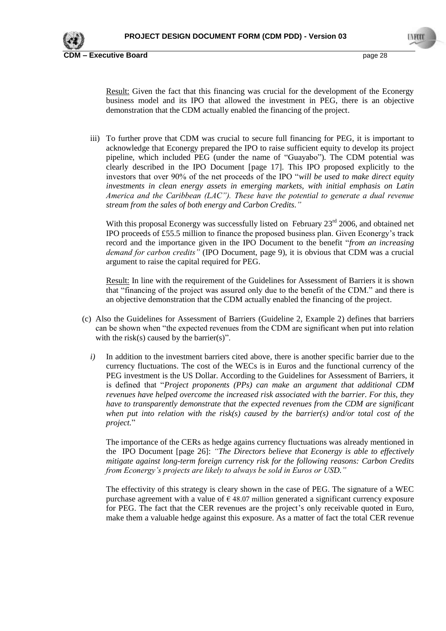

Result: Given the fact that this financing was crucial for the development of the Econergy business model and its IPO that allowed the investment in PEG, there is an objective demonstration that the CDM actually enabled the financing of the project.

iii) To further prove that CDM was crucial to secure full financing for PEG, it is important to acknowledge that Econergy prepared the IPO to raise sufficient equity to develop its project pipeline, which included PEG (under the name of "Guayabo"). The CDM potential was clearly described in the IPO Document [page 17]. This IPO proposed explicitly to the investors that over 90% of the net proceeds of the IPO "*will be used to make direct equity investments in clean energy assets in emerging markets, with initial emphasis on Latin America and the Caribbean (LAC"). These have the potential to generate a dual revenue stream from the sales of both energy and Carbon Credits."*

With this proposal Econergy was successfully listed on February 23<sup>rd</sup> 2006, and obtained net IPO proceeds of £55.5 million to finance the proposed business plan. Given Econergy"s track record and the importance given in the IPO Document to the benefit "*from an increasing demand for carbon credits"* (IPO Document, page 9), it is obvious that CDM was a crucial argument to raise the capital required for PEG.

Result: In line with the requirement of the Guidelines for Assessment of Barriers it is shown that "financing of the project was assured only due to the benefit of the CDM." and there is an objective demonstration that the CDM actually enabled the financing of the project.

- (c) Also the Guidelines for Assessment of Barriers (Guideline 2, Example 2) defines that barriers can be shown when "the expected revenues from the CDM are significant when put into relation with the risk(s) caused by the barrier(s)".
	- *i*) In addition to the investment barriers cited above, there is another specific barrier due to the currency fluctuations. The cost of the WECs is in Euros and the functional currency of the PEG investment is the US Dollar. According to the Guidelines for Assessment of Barriers, it is defined that "*Project proponents (PPs) can make an argument that additional CDM revenues have helped overcome the increased risk associated with the barrier. For this, they have to transparently demonstrate that the expected revenues from the CDM are significant when put into relation with the risk(s) caused by the barrier(s) and/or total cost of the project.*"

The importance of the CERs as hedge agains currency fluctuations was already mentioned in the IPO Document [page 26]: *"The Directors believe that Econergy is able to effectively mitigate against long-term foreign currency risk for the following reasons: Carbon Credits from Econergy's projects are likely to always be sold in Euros or USD."*

The effectivity of this strategy is cleary shown in the case of PEG. The signature of a WEC purchase agreement with a value of  $\epsilon$  48.07 million generated a significant currency exposure for PEG. The fact that the CER revenues are the project's only receivable quoted in Euro, make them a valuable hedge against this exposure. As a matter of fact the total CER revenue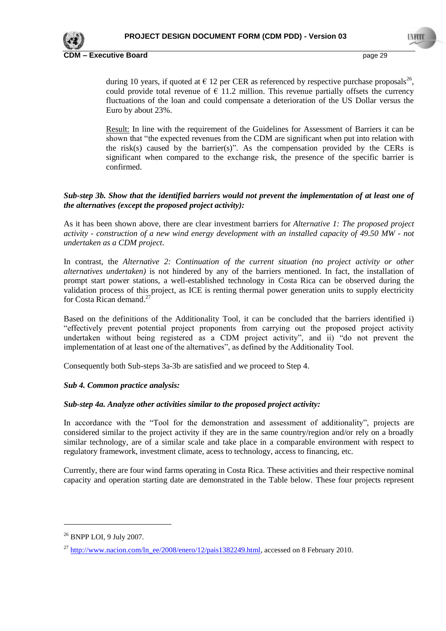

during 10 years, if quoted at  $\epsilon$  12 per CER as referenced by respective purchase proposals<sup>26</sup>, could provide total revenue of  $\epsilon$  11.2 million. This revenue partially offsets the currency fluctuations of the loan and could compensate a deterioration of the US Dollar versus the Euro by about 23%.

Result: In line with the requirement of the Guidelines for Assessment of Barriers it can be shown that "the expected revenues from the CDM are significant when put into relation with the risk(s) caused by the barrier(s)". As the compensation provided by the CERs is significant when compared to the exchange risk, the presence of the specific barrier is confirmed.

## *Sub-step 3b. Show that the identified barriers would not prevent the implementation of at least one of the alternatives (except the proposed project activity):*

As it has been shown above, there are clear investment barriers for *Alternative 1: The proposed project activity - construction of a new wind energy development with an installed capacity of 49.50 MW - not undertaken as a CDM project*.

In contrast, the *Alternative 2: Continuation of the current situation (no project activity or other alternatives undertaken)* is not hindered by any of the barriers mentioned. In fact, the installation of prompt start power stations, a well-established technology in Costa Rica can be observed during the validation process of this project, as ICE is renting thermal power generation units to supply electricity for Costa Rican demand.<sup>27</sup>

Based on the definitions of the Additionality Tool, it can be concluded that the barriers identified i) "effectively prevent potential project proponents from carrying out the proposed project activity undertaken without being registered as a CDM project activity", and ii) "do not prevent the implementation of at least one of the alternatives", as defined by the Additionality Tool.

Consequently both Sub-steps 3a-3b are satisfied and we proceed to Step 4.

#### *Sub 4. Common practice analysis:*

#### *Sub-step 4a. Analyze other activities similar to the proposed project activity:*

In accordance with the "Tool for the demonstration and assessment of additionality", projects are considered similar to the project activity if they are in the same country/region and/or rely on a broadly similar technology, are of a similar scale and take place in a comparable environment with respect to regulatory framework, investment climate, acess to technology, access to financing, etc.

Currently, there are four wind farms operating in Costa Rica. These activities and their respective nominal capacity and operation starting date are demonstrated in the Table below. These four projects represent

<u>.</u>

<sup>26</sup> BNPP LOI, 9 July 2007.

 $^{27}$  [http://www.nacion.com/ln\\_ee/2008/enero/12/pais1382249.html,](http://www.nacion.com/ln_ee/2008/enero/12/pais1382249.html) accessed on 8 February 2010.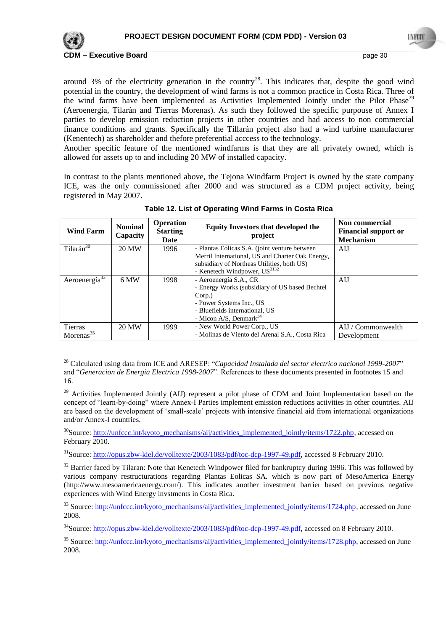

<u>.</u>

**CDM – Executive Board** page 30

around 3% of the electricity generation in the country<sup>28</sup>. This indicates that, despite the good wind potential in the country, the development of wind farms is not a common practice in Costa Rica. Three of the wind farms have been implemented as Activities Implemented Jointly under the Pilot Phase<sup>29</sup> (Aeroenergía, Tilarán and Tierras Morenas). As such they followed the specific purpouse of Annex I parties to develop emission reduction projects in other countries and had access to non commercial finance conditions and grants. Specifically the Tillarán project also had a wind turbine manufacturer (Kenentech) as shareholder and thefore preferential acccess to the technology.

Another specific feature of the mentioned windfarms is that they are all privately owned, which is allowed for assets up to and including 20 MW of installed capacity.

In contrast to the plants mentioned above, the Tejona Windfarm Project is owned by the state company ICE, was the only commissioned after 2000 and was structured as a CDM project activity, being registered in May 2007.

| <b>Wind Farm</b>        | <b>Nominal</b><br>Capacity | <b>Operation</b><br><b>Starting</b><br>Date | <b>Equity Investors that developed the</b><br>project                                                                                                                                   | Non commercial<br><b>Financial support or</b><br><b>Mechanism</b> |
|-------------------------|----------------------------|---------------------------------------------|-----------------------------------------------------------------------------------------------------------------------------------------------------------------------------------------|-------------------------------------------------------------------|
| Tilarán <sup>30</sup>   | 20 MW                      | 1996                                        | - Plantas Eólicas S.A. (joint venture between<br>Merril International, US and Charter Oak Energy,<br>subsidiary of Northeas Utilities, both US)                                         | AIJ                                                               |
|                         |                            |                                             | - Kenetech Windpower, US <sup>3132</sup>                                                                                                                                                |                                                                   |
| Aeroenergía $33$        | 6 MW                       | 1998                                        | - Aeroenergía S.A., CR<br>- Energy Works (subsidiary of US based Bechtel)<br>Corp.)<br>- Power Systems Inc., US<br>- Bluefields international, US<br>- Micon A/S, Denmark <sup>34</sup> | AIJ                                                               |
| Tierras<br>Morenas $35$ | 20 MW                      | 1999                                        | - New World Power Corp., US<br>- Molinas de Viento del Arenal S.A., Costa Rica                                                                                                          | AIJ / Commonwealth<br>Development                                 |

## **Table 12. List of Operating Wind Farms in Costa Rica**

<sup>28</sup> Calculated using data from ICE and ARESEP: "*Capacidad Instalada del sector electrico nacional 1999-2007*" and "*Generacion de Energia Electrica 1998-2007*". References to these documents presented in footnotes 15 and 16.

<sup>29</sup> Activities Implemented Jointly (AIJ) represent a pilot phase of CDM and Joint Implementation based on the concept of "learn-by-doing" where Annex-I Parties implement emission reductions activities in other countries. AIJ are based on the development of "small-scale" projects with intensive financial aid from international organizations and/or Annex-I countries.

 $30$ Source[: http://unfccc.int/kyoto\\_mechanisms/aij/activities\\_implemented\\_jointly/items/1722.php,](http://unfccc.int/kyoto_mechanisms/aij/activities_implemented_jointly/items/1722.php) accessed on February 2010.

<sup>31</sup>Source[: http://opus.zbw-kiel.de/volltexte/2003/1083/pdf/toc-dcp-1997-49.pdf,](http://opus.zbw-kiel.de/volltexte/2003/1083/pdf/toc-dcp-1997-49.pdf) accessed 8 February 2010.

 $32$  Barrier faced by Tilaran: Note that Kenetech Windpower filed for bankruptcy during 1996. This was followed by various company restructurations regarding Plantas Eolicas SA. which is now part of MesoAmerica Energy (http://www.mesoamericaenergy.com/). This indicates another investment barrier based on previous negative experiences with Wind Energy invstments in Costa Rica.

 $33$  Source: [http://unfccc.int/kyoto\\_mechanisms/aij/activities\\_implemented\\_jointly/items/1724.php,](http://unfccc.int/kyoto_mechanisms/aij/activities_implemented_jointly/items/1724.php) accessed on June 2008.

<sup>34</sup>Source[: http://opus.zbw-kiel.de/volltexte/2003/1083/pdf/toc-dcp-1997-49.pdf,](http://opus.zbw-kiel.de/volltexte/2003/1083/pdf/toc-dcp-1997-49.pdf) accessed on 8 February 2010.

<sup>35</sup> Source: [http://unfccc.int/kyoto\\_mechanisms/aij/activities\\_implemented\\_jointly/items/1728.php,](http://unfccc.int/kyoto_mechanisms/aij/activities_implemented_jointly/items/1728.php) accessed on June 2008.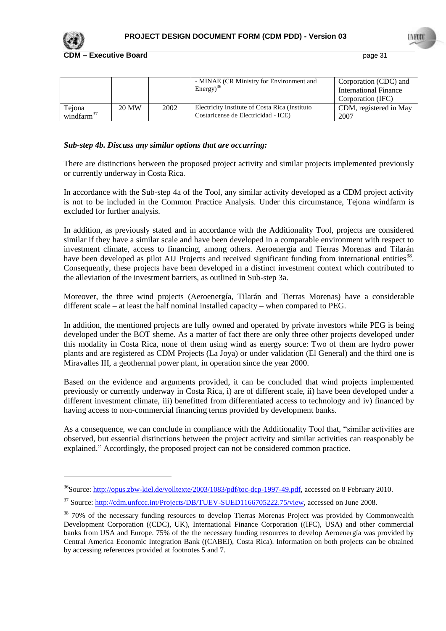

-

**CDM – Executive Board** page 31

|                         |       |      | - MINAE (CR Ministry for Environment and<br>$Energy)$ <sup>36</sup>                    | Corporation (CDC) and<br><b>International Finance</b><br>Corporation (IFC) |
|-------------------------|-------|------|----------------------------------------------------------------------------------------|----------------------------------------------------------------------------|
| Tejona<br>windfarm $37$ | 20 MW | 2002 | Electricity Institute of Costa Rica (Instituto)<br>Costaricense de Electricidad - ICE) | CDM, registered in May<br>2007                                             |

## *Sub-step 4b. Discuss any similar options that are occurring:*

There are distinctions between the proposed project activity and similar projects implemented previously or currently underway in Costa Rica.

In accordance with the Sub-step 4a of the Tool, any similar activity developed as a CDM project activity is not to be included in the Common Practice Analysis. Under this circumstance, Tejona windfarm is excluded for further analysis.

In addition, as previously stated and in accordance with the Additionality Tool, projects are considered similar if they have a similar scale and have been developed in a comparable environment with respect to investment climate, access to financing, among others. Aeroenergía and Tierras Morenas and Tilarán have been developed as pilot AIJ Projects and received significant funding from international entities<sup>38</sup>. Consequently, these projects have been developed in a distinct investment context which contributed to the alleviation of the investment barriers, as outlined in Sub-step 3a.

Moreover, the three wind projects (Aeroenergía, Tilarán and Tierras Morenas) have a considerable different scale – at least the half nominal installed capacity – when compared to PEG.

In addition, the mentioned projects are fully owned and operated by private investors while PEG is being developed under the BOT sheme. As a matter of fact there are only three other projects developed under this modality in Costa Rica, none of them using wind as energy source: Two of them are hydro power plants and are registered as CDM Projects (La Joya) or under validation (El General) and the third one is Miravalles III, a geothermal power plant, in operation since the year 2000.

Based on the evidence and arguments provided, it can be concluded that wind projects implemented previously or currently underway in Costa Rica, i) are of different scale, ii) have been developed under a different investment climate, iii) benefitted from differentiated access to technology and iv) financed by having access to non-commercial financing terms provided by development banks.

As a consequence, we can conclude in compliance with the Additionality Tool that, "similar activities are observed, but essential distinctions between the project activity and similar activities can reasponably be explained." Accordingly, the proposed project can not be considered common practice.

<sup>&</sup>lt;sup>36</sup>Source[: http://opus.zbw-kiel.de/volltexte/2003/1083/pdf/toc-dcp-1997-49.pdf,](http://opus.zbw-kiel.de/volltexte/2003/1083/pdf/toc-dcp-1997-49.pdf) accessed on 8 February 2010.

<sup>&</sup>lt;sup>37</sup> Source: [http://cdm.unfccc.int/Projects/DB/TUEV-SUED1166705222.75/view,](http://cdm.unfccc.int/Projects/DB/TUEV-SUED1166705222.75/view) accessed on June 2008.

<sup>&</sup>lt;sup>38</sup> 70% of the necessary funding resources to develop Tierras Morenas Project was provided by Commonwealth Development Corporation ((CDC), UK), International Finance Corporation ((IFC), USA) and other commercial banks from USA and Europe. 75% of the the necessary funding resources to develop Aeroenergía was provided by Central America Economic Integration Bank ((CABEI), Costa Rica). Information on both projects can be obtained by accessing references provided at footnotes 5 and 7.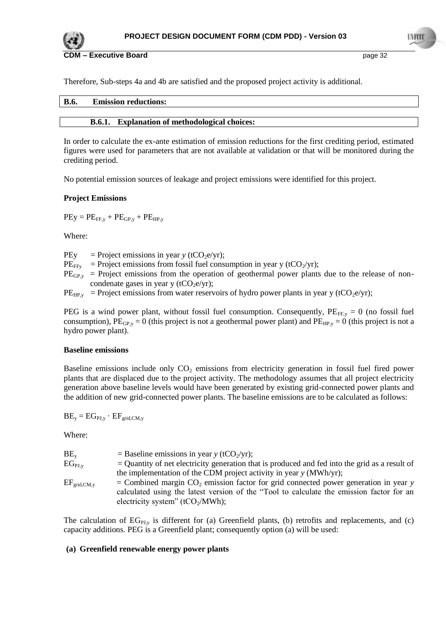

**CDM – Executive Board page 32 page 32** 

Therefore, Sub-steps 4a and 4b are satisfied and the proposed project activity is additional.

| B.6 | Emission rod<br>ons:<br>ĽГ |
|-----|----------------------------|
|     |                            |

# **B.6.1. Explanation of methodological choices:**

In order to calculate the ex-ante estimation of emission reductions for the first crediting period, estimated figures were used for parameters that are not available at validation or that will be monitored during the crediting period.

No potential emission sources of leakage and project emissions were identified for this project.

## **Project Emissions**

 $PEy = PE_{FF,y} + PE_{GP,y} + PE_{HP,y}$ 

Where:

PEy = Project emissions in year *y* ( $tCO<sub>2</sub>e/yr$ );

- $PE_{FFv}$  = Project emissions from fossil fuel consumption in year y (tCO<sub>2</sub>/yr);
- $PE<sub>GP,y</sub>$  = Project emissions from the operation of geothermal power plants due to the release of noncondenate gases in year y (tCO<sub>2</sub>e/yr);

 $PE_{HP,y}$  = Project emissions from water reservoirs of hydro power plants in year y (tCO<sub>2</sub>e/yr);

PEG is a wind power plant, without fossil fuel consumption. Consequently,  $PE_{FF,y} = 0$  (no fossil fuel consumption),  $PE_{GP,y} = 0$  (this project is not a geothermal power plant) and  $PE_{HP,y} = 0$  (this project is not a hydro power plant).

#### **Baseline emissions**

Baseline emissions include only  $CO<sub>2</sub>$  emissions from electricity generation in fossil fuel fired power plants that are displaced due to the project activity. The methodology assumes that all project electricity generation above baseline levels would have been generated by existing grid-connected power plants and the addition of new grid-connected power plants. The baseline emissions are to be calculated as follows:

 $BE_v = EG_{PLv} \cdot EF_{grid,CM, v}$ 

Where:

| $BE_v$           | = Baseline emissions in year y (tCO <sub>2</sub> /yr);                                                                                                                                                                             |
|------------------|------------------------------------------------------------------------------------------------------------------------------------------------------------------------------------------------------------------------------------|
| $EG_{PLv}$       | $=$ Quantity of net electricity generation that is produced and fed into the grid as a result of                                                                                                                                   |
|                  | the implementation of the CDM project activity in year $y$ (MWh/yr);                                                                                                                                                               |
| $EF_{grid,CM,y}$ | = Combined margin $CO_2$ emission factor for grid connected power generation in year y<br>calculated using the latest version of the "Tool to calculate the emission factor for an<br>electricity system" (tCO <sub>2</sub> /MWh); |

The calculation of  $EG<sub>PI,v</sub>$  is different for (a) Greenfield plants, (b) retrofits and replacements, and (c) capacity additions. PEG is a Greenfield plant; consequently option (a) will be used:

#### **(a) Greenfield renewable energy power plants**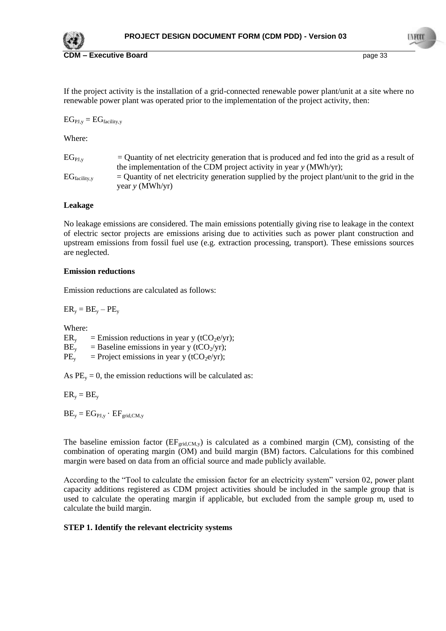

If the project activity is the installation of a grid-connected renewable power plant/unit at a site where no renewable power plant was operated prior to the implementation of the project activity, then:

 $EG_{PI, v} = EG_{\text{facility}, v}$ 

Where:

 $EG<sub>PLy</sub>$  = Quantity of net electricity generation that is produced and fed into the grid as a result of the implementation of the CDM project activity in year *y* (MWh/yr);  $EG<sub>facility.v</sub>$  = Quantity of net electricity generation supplied by the project plant/unit to the grid in the year *y* (MWh/yr)

#### **Leakage**

No leakage emissions are considered. The main emissions potentially giving rise to leakage in the context of electric sector projects are emissions arising due to activities such as power plant construction and upstream emissions from fossil fuel use (e.g. extraction processing, transport). These emissions sources are neglected.

#### **Emission reductions**

Emission reductions are calculated as follows:

 $ER_v = BE_v - PE_v$ 

Where:

 $ER<sub>v</sub>$  = Emission reductions in year y (tCO<sub>2</sub>e/yr);  $BE<sub>y</sub>$  = Baseline emissions in year y (tCO<sub>2</sub>/yr);

 $PE<sub>v</sub>$  = Project emissions in year y (tCO<sub>2</sub>e/yr);

As  $PE<sub>v</sub> = 0$ , the emission reductions will be calculated as:

 $ER_v = BE_v$ 

 $BE_v = EG_{PJ,v} \cdot EF_{grid,CM,v}$ 

The baseline emission factor  $(EF_{grid,CM,y})$  is calculated as a combined margin (CM), consisting of the combination of operating margin (OM) and build margin (BM) factors. Calculations for this combined margin were based on data from an official source and made publicly available.

According to the "Tool to calculate the emission factor for an electricity system" version 02, power plant capacity additions registered as CDM project activities should be included in the sample group that is used to calculate the operating margin if applicable, but excluded from the sample group m, used to calculate the build margin.

#### **STEP 1. Identify the relevant electricity systems**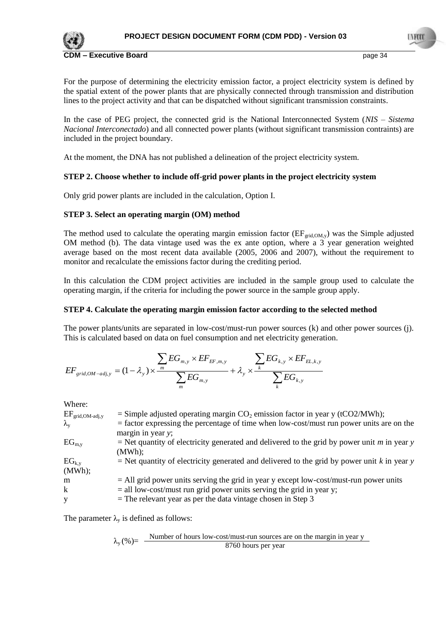

For the purpose of determining the electricity emission factor, a project electricity system is defined by the spatial extent of the power plants that are physically connected through transmission and distribution lines to the project activity and that can be dispatched without significant transmission constraints.

In the case of PEG project, the connected grid is the National Interconnected System (*NIS – Sistema Nacional Interconectado*) and all connected power plants (without significant transmission contraints) are included in the project boundary.

At the moment, the DNA has not published a delineation of the project electricity system.

## **STEP 2. Choose whether to include off-grid power plants in the project electricity system**

Only grid power plants are included in the calculation, Option I.

## **STEP 3. Select an operating margin (OM) method**

The method used to calculate the operating margin emission factor  $(EF_{grid,OM,y})$  was the Simple adjusted OM method (b). The data vintage used was the ex ante option, where a 3 year generation weighted average based on the most recent data available (2005, 2006 and 2007), without the requirement to monitor and recalculate the emissions factor during the crediting period.

In this calculation the CDM project activities are included in the sample group used to calculate the operating margin, if the criteria for including the power source in the sample group apply.

#### **STEP 4. Calculate the operating margin emission factor according to the selected method**

The power plants/units are separated in low-cost/must-run power sources (k) and other power sources (j). This is calculated based on data on fuel consumption and net electricity generation.

$$
EF_{grid,OM-adj,y} = (1 - \lambda_y) \times \frac{\sum_{m} EG_{m,y} \times EF_{EF,m,y}}{\sum_{m} EG_{m,y}} + \lambda_y \times \frac{\sum_{k} EG_{k,y} \times EF_{EL,k,y}}{\sum_{k} EG_{k,y}}
$$

Where:

| $EF_{\rm grid,OM\text{-}adj,y}$<br>$\lambda_{\rm v}$ | = Simple adjusted operating margin $CO_2$ emission factor in year y (tCO2/MWh);<br>$=$ factor expressing the percentage of time when low-cost/must run power units are on the<br>margin in year y; |
|------------------------------------------------------|----------------------------------------------------------------------------------------------------------------------------------------------------------------------------------------------------|
| $EG_{m,v}$                                           | = Net quantity of electricity generated and delivered to the grid by power unit m in year y<br>(MWh);                                                                                              |
| $EG_{k,y}$<br>(MWh);                                 | $=$ Net quantity of electricity generated and delivered to the grid by power unit k in year y                                                                                                      |
| m                                                    | $=$ All grid power units serving the grid in year y except low-cost/must-run power units                                                                                                           |
| k                                                    | $=$ all low-cost/must run grid power units serving the grid in year y;                                                                                                                             |
| V                                                    | $=$ The relevant year as per the data vintage chosen in Step 3                                                                                                                                     |

The parameter  $\lambda_{y}$  is defined as follows:

$$
\lambda_y(\%) = \frac{\text{Number of hours low-cost/must-run sources are on the margin in year y}}{8760 \text{ hours per year}}
$$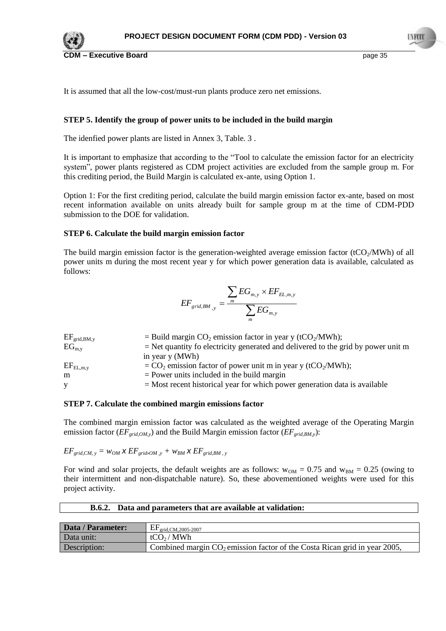

I VET

It is assumed that all the low-cost/must-run plants produce zero net emissions.

## **STEP 5. Identify the group of power units to be included in the build margin**

The idenfied power plants are listed in Annex 3, [Table. 3](#page-54-0) .

It is important to emphasize that according to the "Tool to calculate the emission factor for an electricity system", power plants registered as CDM project activities are excluded from the sample group m. For this crediting period, the Build Margin is calculated ex-ante, using Option 1.

Option 1: For the first crediting period, calculate the build margin emission factor ex-ante, based on most recent information available on units already built for sample group m at the time of CDM-PDD submission to the DOE for validation.

#### **STEP 6. Calculate the build margin emission factor**

The build margin emission factor is the generation-weighted average emission factor (tCO $_2$ /MWh) of all power units m during the most recent year y for which power generation data is available, calculated as follows:

$$
EF_{grid,BM_{,y}} = \frac{\sum_{m} EG_{m,y} \times EF_{EL,m,y}}{\sum_{m} EG_{m,y}}
$$

| = Build margin $CO_2$ emission factor in year y (tCO <sub>2</sub> /MWh);               |
|----------------------------------------------------------------------------------------|
| $=$ Net quantity fo electricity generated and delivered to the grid by power unit m    |
| in year y (MWh)                                                                        |
| $=$ CO <sub>2</sub> emission factor of power unit m in year y (tCO <sub>2</sub> /MWh); |
| $=$ Power units included in the build margin                                           |
| $=$ Most recent historical year for which power generation data is available           |
|                                                                                        |

#### **STEP 7. Calculate the combined margin emissions factor**

The combined margin emission factor was calculated as the weighted average of the Operating Margin emission factor (*EFgrid,OM,y*) and the Build Margin emission factor (*EFgrid,BM,y*):

 $EF_{grid,CM, y} = w_{OM} \times EF_{grid,OM, y} + w_{BM} \times EF_{grid,BM, y}$ 

For wind and solar projects, the default weights are as follows:  $w_{OM} = 0.75$  and  $w_{BM} = 0.25$  (owing to their intermittent and non-dispatchable nature). So, these abovementioned weights were used for this project activity.

| Data / Parameter: | $\mathrm{EF}_{\mathrm{grid},\mathrm{CM},2005\text{-}2007}$                   |
|-------------------|------------------------------------------------------------------------------|
| Data unit:        | tCO <sub>2</sub> /MWh                                                        |
| Description:      | Combined margin $CO_2$ emission factor of the Costa Rican grid in year 2005, |

#### **B.6.2. Data and parameters that are available at validation:**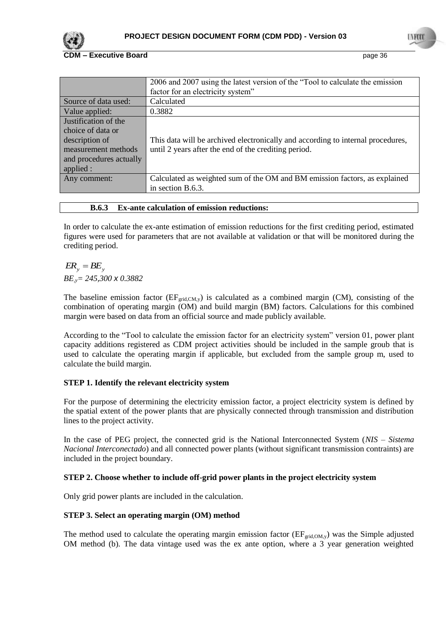

## **CDM – Executive Board COVID-100 page 36**

|                         | 2006 and 2007 using the latest version of the "Tool to calculate the emission<br>factor for an electricity system" |
|-------------------------|--------------------------------------------------------------------------------------------------------------------|
| Source of data used:    | Calculated                                                                                                         |
| Value applied:          | 0.3882                                                                                                             |
| Justification of the    |                                                                                                                    |
| choice of data or       |                                                                                                                    |
| description of          | This data will be archived electronically and according to internal procedures,                                    |
| measurement methods     | until 2 years after the end of the crediting period.                                                               |
| and procedures actually |                                                                                                                    |
| applied :               |                                                                                                                    |
| Any comment:            | Calculated as weighted sum of the OM and BM emission factors, as explained                                         |
|                         | in section B.6.3.                                                                                                  |

## **B.6.3 Ex-ante calculation of emission reductions:**

In order to calculate the ex-ante estimation of emission reductions for the first crediting period, estimated figures were used for parameters that are not available at validation or that will be monitored during the crediting period.

# $ER_y = BE_y$ *BE,y= 245,300 x 0.3882*

The baseline emission factor  $(EF_{grid,CM,y})$  is calculated as a combined margin (CM), consisting of the combination of operating margin (OM) and build margin (BM) factors. Calculations for this combined margin were based on data from an official source and made publicly available.

According to the "Tool to calculate the emission factor for an electricity system" version 01, power plant capacity additions registered as CDM project activities should be included in the sample groub that is used to calculate the operating margin if applicable, but excluded from the sample group m, used to calculate the build margin.

# **STEP 1. Identify the relevant electricity system**

For the purpose of determining the electricity emission factor, a project electricity system is defined by the spatial extent of the power plants that are physically connected through transmission and distribution lines to the project activity.

In the case of PEG project, the connected grid is the National Interconnected System (*NIS – Sistema Nacional Interconectado*) and all connected power plants (without significant transmission contraints) are included in the project boundary.

# **STEP 2. Choose whether to include off-grid power plants in the project electricity system**

Only grid power plants are included in the calculation.

# **STEP 3. Select an operating margin (OM) method**

The method used to calculate the operating margin emission factor  $(EF_{grid,OM,y})$  was the Simple adjusted OM method (b). The data vintage used was the ex ante option, where a 3 year generation weighted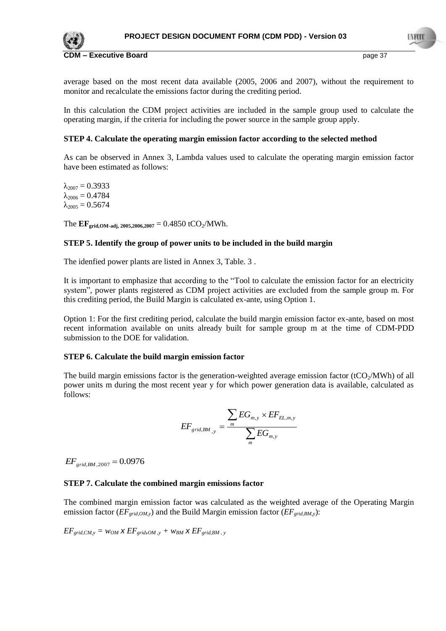

average based on the most recent data available (2005, 2006 and 2007), without the requirement to monitor and recalculate the emissions factor during the crediting period.

In this calculation the CDM project activities are included in the sample group used to calculate the operating margin, if the criteria for including the power source in the sample group apply.

### **STEP 4. Calculate the operating margin emission factor according to the selected method**

As can be observed in Annex 3, Lambda values used to calculate the operating margin emission factor have been estimated as follows:

 $\lambda_{2007} = 0.3933$  $\lambda_{2006} = 0.4784$  $\lambda_{2005} = 0.5674$ 

The  $EF_{grid,OM-adj, 2005,2006,2007} = 0.4850$  tCO<sub>2</sub>/MWh.

#### **STEP 5. Identify the group of power units to be included in the build margin**

The idenfied power plants are listed in Annex 3, [Table. 3](#page-54-0) .

It is important to emphasize that according to the "Tool to calculate the emission factor for an electricity system", power plants registered as CDM project activities are excluded from the sample group m. For this crediting period, the Build Margin is calculated ex-ante, using Option 1.

Option 1: For the first crediting period, calculate the build margin emission factor ex-ante, based on most recent information available on units already built for sample group m at the time of CDM-PDD submission to the DOE for validation.

#### **STEP 6. Calculate the build margin emission factor**

The build margin emissions factor is the generation-weighted average emission factor (tCO $_2$ /MWh) of all power units m during the most recent year y for which power generation data is available, calculated as follows:

$$
EF_{grid,BM_{,y}} = \frac{\sum_{m} EG_{m,y} \times EF_{EL,m,y}}{\sum_{m} EG_{m,y}}
$$

 $EF_{grid,BM,2007} = 0.0976$ 

#### **STEP 7. Calculate the combined margin emissions factor**

The combined margin emission factor was calculated as the weighted average of the Operating Margin emission factor (*EFgrid,OM,y*) and the Build Margin emission factor (*EFgrid,BM,y*):

 $EF_{grid,CM,y} = w_{OM} \times EF_{grid,OM,y} + w_{BM} \times EF_{grid,BM,y}$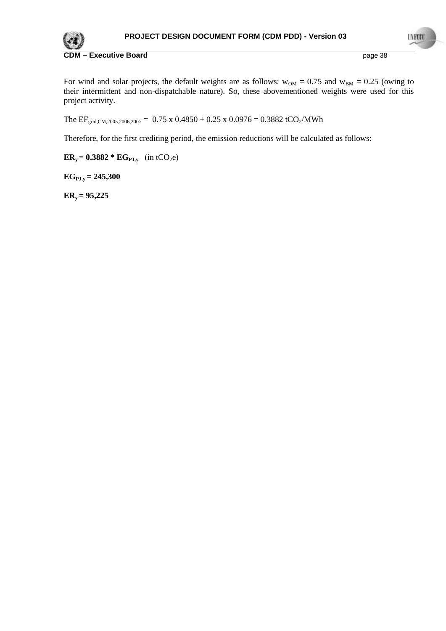

For wind and solar projects, the default weights are as follows:  $w_{OM} = 0.75$  and  $w_{BM} = 0.25$  (owing to their intermittent and non-dispatchable nature). So, these abovementioned weights were used for this project activity.

The EF<sub>grid,CM,2005,2006,2007</sub> =  $0.75 \times 0.4850 + 0.25 \times 0.0976 = 0.3882$  tCO<sub>2</sub>/MWh

Therefore, for the first crediting period, the emission reductions will be calculated as follows:

 $ER_y = 0.3882 * EG_{PJ,y}$  (in tCO<sub>2</sub>e)

**EGPJ,y = 245,300**

**ERy = 95,225**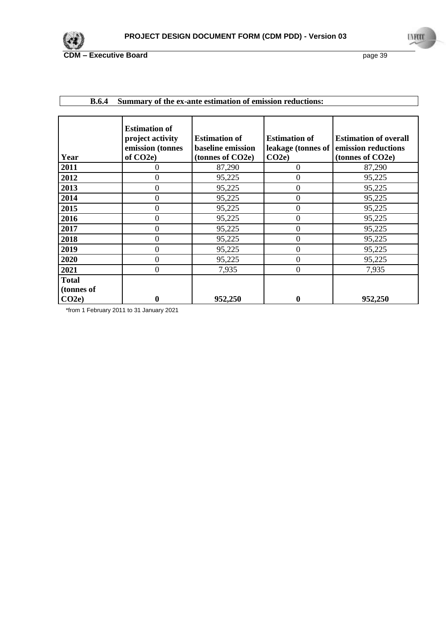

| Year                       | <b>Estimation of</b><br>project activity<br>emission (tonnes<br>of CO <sub>2e</sub> ) | <b>Estimation of</b><br><b>baseline emission</b><br>(tonnes of CO2e) | <b>Estimation of</b><br>leakage (tonnes of<br>CO2e | <b>Estimation of overall</b><br>emission reductions<br>(tonnes of CO2e) |
|----------------------------|---------------------------------------------------------------------------------------|----------------------------------------------------------------------|----------------------------------------------------|-------------------------------------------------------------------------|
| 2011                       | 0                                                                                     | 87,290                                                               | $\Omega$                                           | 87,290                                                                  |
| 2012                       | $\overline{0}$                                                                        | 95,225                                                               | $\theta$                                           | 95,225                                                                  |
| 2013                       | $\mathbf{0}$                                                                          | 95,225                                                               | $\overline{0}$                                     | 95,225                                                                  |
| 2014                       | $\mathbf{0}$                                                                          | 95,225                                                               | $\boldsymbol{0}$                                   | 95,225                                                                  |
| 2015                       | $\mathbf{0}$                                                                          | 95,225                                                               | $\boldsymbol{0}$                                   | 95,225                                                                  |
| 2016                       | $\mathbf{0}$                                                                          | 95,225                                                               | $\overline{0}$                                     | 95,225                                                                  |
| 2017                       | $\mathbf{0}$                                                                          | 95,225                                                               | $\boldsymbol{0}$                                   | 95,225                                                                  |
| 2018                       | $\overline{0}$                                                                        | 95,225                                                               | $\overline{0}$                                     | 95,225                                                                  |
| 2019                       | $\overline{0}$                                                                        | 95,225                                                               | $\overline{0}$                                     | 95,225                                                                  |
| 2020                       | $\mathbf{0}$                                                                          | 95,225                                                               | $\boldsymbol{0}$                                   | 95,225                                                                  |
| 2021                       | $\mathbf{0}$                                                                          | 7,935                                                                | $\boldsymbol{0}$                                   | 7,935                                                                   |
| <b>Total</b><br>(tonnes of |                                                                                       |                                                                      |                                                    |                                                                         |
| CO2e                       | $\boldsymbol{0}$                                                                      | 952,250                                                              | 0                                                  | 952,250                                                                 |

# **B.6.4 Summary of the ex-ante estimation of emission reductions:**

\*from 1 February 2011 to 31 January 2021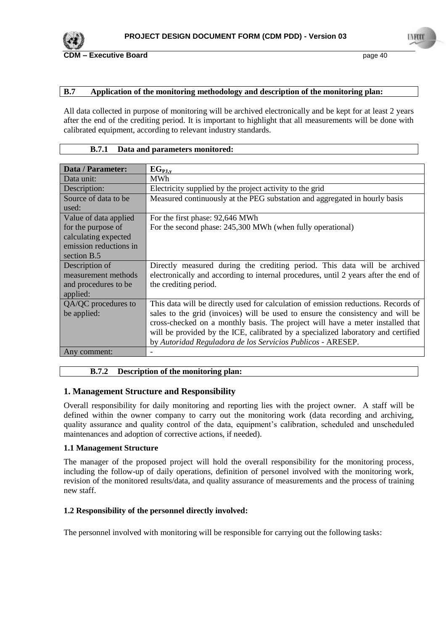

## **B.7 Application of the monitoring methodology and description of the monitoring plan:**

All data collected in purpose of monitoring will be archived electronically and be kept for at least 2 years after the end of the crediting period. It is important to highlight that all measurements will be done with calibrated equipment, according to relevant industry standards.

### **B.7.1 Data and parameters monitored:**

| Data / Parameter:      | $EG_{PJ,y}$                                                                         |
|------------------------|-------------------------------------------------------------------------------------|
| Data unit:             | <b>MWh</b>                                                                          |
| Description:           | Electricity supplied by the project activity to the grid                            |
| Source of data to be.  | Measured continuously at the PEG substation and aggregated in hourly basis          |
| used:                  |                                                                                     |
| Value of data applied  | For the first phase: 92,646 MWh                                                     |
| for the purpose of     | For the second phase: 245,300 MWh (when fully operational)                          |
| calculating expected   |                                                                                     |
| emission reductions in |                                                                                     |
| section B.5            |                                                                                     |
| Description of         | Directly measured during the crediting period. This data will be archived           |
| measurement methods    | electronically and according to internal procedures, until 2 years after the end of |
| and procedures to be   | the crediting period.                                                               |
| applied:               |                                                                                     |
| QA/QC procedures to    | This data will be directly used for calculation of emission reductions. Records of  |
| be applied:            | sales to the grid (invoices) will be used to ensure the consistency and will be     |
|                        | cross-checked on a monthly basis. The project will have a meter installed that      |
|                        | will be provided by the ICE, calibrated by a specialized laboratory and certified   |
|                        | by Autoridad Reguladora de los Servicios Publicos - ARESEP.                         |
| Any comment:           |                                                                                     |

# **B.7.2 Description of the monitoring plan:**

# **1. Management Structure and Responsibility**

Overall responsibility for daily monitoring and reporting lies with the project owner. A staff will be defined within the owner company to carry out the monitoring work (data recording and archiving, quality assurance and quality control of the data, equipment"s calibration, scheduled and unscheduled maintenances and adoption of corrective actions, if needed).

#### **1.1 Management Structure**

The manager of the proposed project will hold the overall responsibility for the monitoring process, including the follow-up of daily operations, definition of personel involved with the monitoring work, revision of the monitored results/data, and quality assurance of measurements and the process of training new staff.

# **1.2 Responsibility of the personnel directly involved:**

The personnel involved with monitoring will be responsible for carrying out the following tasks: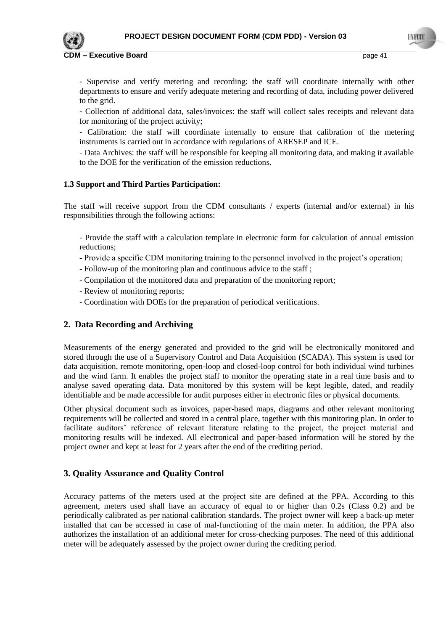

- Supervise and verify metering and recording: the staff will coordinate internally with other departments to ensure and verify adequate metering and recording of data, including power delivered to the grid.

- Collection of additional data, sales/invoices: the staff will collect sales receipts and relevant data for monitoring of the project activity;

- Calibration: the staff will coordinate internally to ensure that calibration of the metering instruments is carried out in accordance with regulations of ARESEP and ICE.

- Data Archives: the staff will be responsible for keeping all monitoring data, and making it available to the DOE for the verification of the emission reductions.

#### **1.3 Support and Third Parties Participation:**

The staff will receive support from the CDM consultants / experts (internal and/or external) in his responsibilities through the following actions:

- Provide the staff with a calculation template in electronic form for calculation of annual emission reductions;

- Provide a specific CDM monitoring training to the personnel involved in the project"s operation;
- Follow-up of the monitoring plan and continuous advice to the staff ;
- Compilation of the monitored data and preparation of the monitoring report;
- Review of monitoring reports;
- Coordination with DOEs for the preparation of periodical verifications.

# **2. Data Recording and Archiving**

Measurements of the energy generated and provided to the grid will be electronically monitored and stored through the use of a Supervisory Control and Data Acquisition (SCADA). This system is used for data acquisition, remote monitoring, open-loop and closed-loop control for both individual wind turbines and the wind farm. It enables the project staff to monitor the operating state in a real time basis and to analyse saved operating data. Data monitored by this system will be kept legible, dated, and readily identifiable and be made accessible for audit purposes either in electronic files or physical documents.

Other physical document such as invoices, paper-based maps, diagrams and other relevant monitoring requirements will be collected and stored in a central place, together with this monitoring plan. In order to facilitate auditors' reference of relevant literature relating to the project, the project material and monitoring results will be indexed. All electronical and paper-based information will be stored by the project owner and kept at least for 2 years after the end of the crediting period.

# **3. Quality Assurance and Quality Control**

Accuracy patterns of the meters used at the project site are defined at the PPA. According to this agreement, meters used shall have an accuracy of equal to or higher than 0.2s (Class 0.2) and be periodically calibrated as per national calibration standards. The project owner will keep a back-up meter installed that can be accessed in case of mal-functioning of the main meter. In addition, the PPA also authorizes the installation of an additional meter for cross-checking purposes. The need of this additional meter will be adequately assessed by the project owner during the crediting period.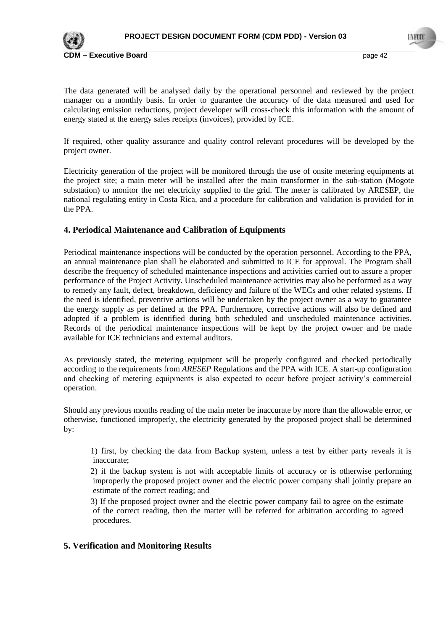

The data generated will be analysed daily by the operational personnel and reviewed by the project manager on a monthly basis. In order to guarantee the accuracy of the data measured and used for calculating emission reductions, project developer will cross-check this information with the amount of energy stated at the energy sales receipts (invoices), provided by ICE.

If required, other quality assurance and quality control relevant procedures will be developed by the project owner.

Electricity generation of the project will be monitored through the use of onsite metering equipments at the project site; a main meter will be installed after the main transformer in the sub-station (Mogote substation) to monitor the net electricity supplied to the grid. The meter is calibrated by ARESEP, the national regulating entity in Costa Rica, and a procedure for calibration and validation is provided for in the PPA.

# **4. Periodical Maintenance and Calibration of Equipments**

Periodical maintenance inspections will be conducted by the operation personnel. According to the PPA, an annual maintenance plan shall be elaborated and submitted to ICE for approval. The Program shall describe the frequency of scheduled maintenance inspections and activities carried out to assure a proper performance of the Project Activity. Unscheduled maintenance activities may also be performed as a way to remedy any fault, defect, breakdown, deficiency and failure of the WECs and other related systems. If the need is identified, preventive actions will be undertaken by the project owner as a way to guarantee the energy supply as per defined at the PPA. Furthermore, corrective actions will also be defined and adopted if a problem is identified during both scheduled and unscheduled maintenance activities. Records of the periodical maintenance inspections will be kept by the project owner and be made available for ICE technicians and external auditors.

As previously stated, the metering equipment will be properly configured and checked periodically according to the requirements from *ARESEP* Regulations and the PPA with ICE. A start-up configuration and checking of metering equipments is also expected to occur before project activity's commercial operation.

Should any previous months reading of the main meter be inaccurate by more than the allowable error, or otherwise, functioned improperly, the electricity generated by the proposed project shall be determined by:

1) first, by checking the data from Backup system, unless a test by either party reveals it is inaccurate;

2) if the backup system is not with acceptable limits of accuracy or is otherwise performing improperly the proposed project owner and the electric power company shall jointly prepare an estimate of the correct reading; and

3) If the proposed project owner and the electric power company fail to agree on the estimate of the correct reading, then the matter will be referred for arbitration according to agreed procedures.

# **5. Verification and Monitoring Results**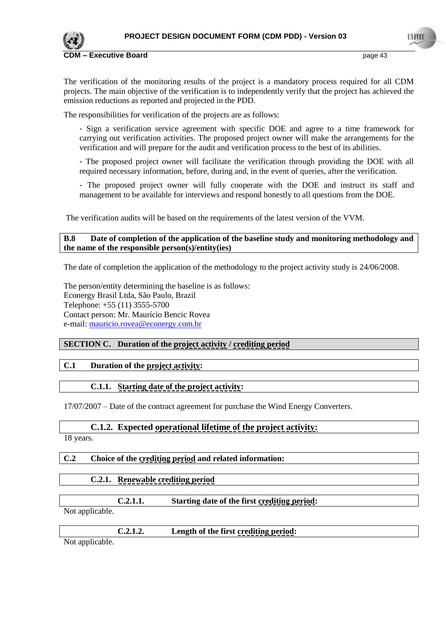

The verification of the monitoring results of the project is a mandatory process required for all CDM projects. The main objective of the verification is to independently verify that the project has achieved the emission reductions as reported and projected in the PDD.

The responsibilities for verification of the projects are as follows:

- Sign a verification service agreement with specific DOE and agree to a time framework for carrying out verification activities. The proposed project owner will make the arrangements for the verification and will prepare for the audit and verification process to the best of its abilities.

- The proposed project owner will facilitate the verification through providing the DOE with all required necessary information, before, during and, in the event of queries, after the verification.

- The proposed project owner will fully cooperate with the DOE and instruct its staff and management to be available for interviews and respond honestly to all questions from the DOE.

The verification audits will be based on the requirements of the latest version of the VVM.

#### **B.8 Date of completion of the application of the baseline study and monitoring methodology and the name of the responsible person(s)/entity(ies)**

The date of completion the application of the methodology to the project activity study is 24/06/2008.

The person/entity determining the baseline is as follows: Econergy Brasil Ltda, São Paulo, Brazil Telephone: +55 (11) 3555-5700 Contact person: Mr. Maurício Bencic Rovea e-mail: [mauricio.rovea@econergy.com.br](mailto:mauricio.rovea@econergy.com.br)

#### **SECTION C. Duration of the project activity / crediting period**

# **C.1 Duration of the project activity:**

#### **C.1.1. Starting date of the project activity:**

17/07/2007 – Date of the contract agreement for purchase the Wind Energy Converters.

#### **C.1.2. Expected operational lifetime of the project activity:**

18 years.

# **C.2 Choice of the crediting period and related information:**

# **C.2.1. Renewable crediting period**

**C.2.1.1. Starting date of the first crediting period:**

Not applicable.

| <br>. | æ.<br>rirst <u>crediting period</u> :<br>Length of<br>the |  |
|-------|-----------------------------------------------------------|--|
|       |                                                           |  |

Not applicable.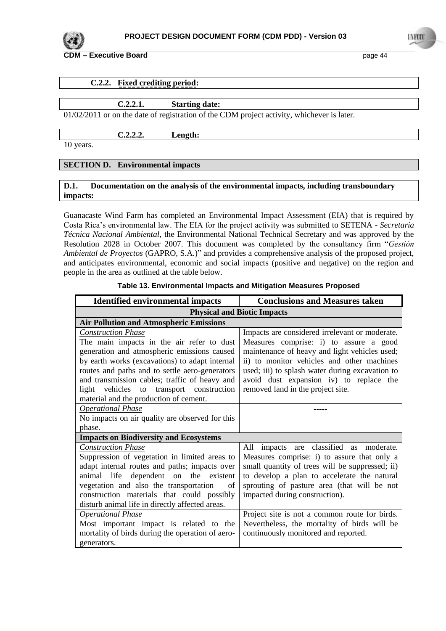

|  | C.2.2. Fixed crediting period: |  |
|--|--------------------------------|--|
|  |                                |  |

| C.2.2.1. | <b>Starting date:</b> |  |
|----------|-----------------------|--|
|----------|-----------------------|--|

01/02/2011 or on the date of registration of the CDM project activity, whichever is later.

**C.2.2.2. Length:** 

10 years.

## **SECTION D. Environmental impacts**

### **D.1. Documentation on the analysis of the environmental impacts, including transboundary impacts:**

Guanacaste Wind Farm has completed an Environmental Impact Assessment (EIA) that is required by Costa Rica"s environmental law. The EIA for the project activity was submitted to SETENA - *Secretaria Técnica Nacional Ambiental*, the Environmental National Technical Secretary and was approved by the Resolution 2028 in October 2007. This document was completed by the consultancy firm "*Gestiόn Ambiental de Proyectos* (GAPRO, S.A.)" and provides a comprehensive analysis of the proposed project, and anticipates environmental, economic and social impacts (positive and negative) on the region and people in the area as outlined at the table below.

| <b>Identified environmental impacts</b>          | <b>Conclusions and Measures taken</b>           |
|--------------------------------------------------|-------------------------------------------------|
| <b>Physical and Biotic Impacts</b>               |                                                 |
| <b>Air Pollution and Atmospheric Emissions</b>   |                                                 |
| <b>Construction Phase</b>                        | Impacts are considered irrelevant or moderate.  |
| The main impacts in the air refer to dust        | Measures comprise: i) to assure a good          |
| generation and atmospheric emissions caused      | maintenance of heavy and light vehicles used;   |
| by earth works (excavations) to adapt internal   | ii) to monitor vehicles and other machines      |
| routes and paths and to settle aero-generators   | used; iii) to splash water during excavation to |
| and transmission cables; traffic of heavy and    | avoid dust expansion iv) to replace the         |
| light vehicles to transport construction         | removed land in the project site.               |
| material and the production of cement.           |                                                 |
| <b>Operational Phase</b>                         |                                                 |
| No impacts on air quality are observed for this  |                                                 |
| phase.                                           |                                                 |
| <b>Impacts on Biodiversity and Ecosystems</b>    |                                                 |
| <b>Construction Phase</b>                        | All impacts are classified as moderate.         |
| Suppression of vegetation in limited areas to    | Measures comprise: i) to assure that only a     |
| adapt internal routes and paths; impacts over    | small quantity of trees will be suppressed; ii) |
| animal life dependent on the existent            | to develop a plan to accelerate the natural     |
| vegetation and also the transportation<br>of     | sprouting of pasture area (that will be not     |
| construction materials that could possibly       | impacted during construction).                  |
| disturb animal life in directly affected areas.  |                                                 |
| <b>Operational Phase</b>                         | Project site is not a common route for birds.   |
| Most important impact is related to the          | Nevertheless, the mortality of birds will be    |
| mortality of birds during the operation of aero- | continuously monitored and reported.            |
| generators.                                      |                                                 |

## **Table 13. Environmental Impacts and Mitigation Measures Proposed**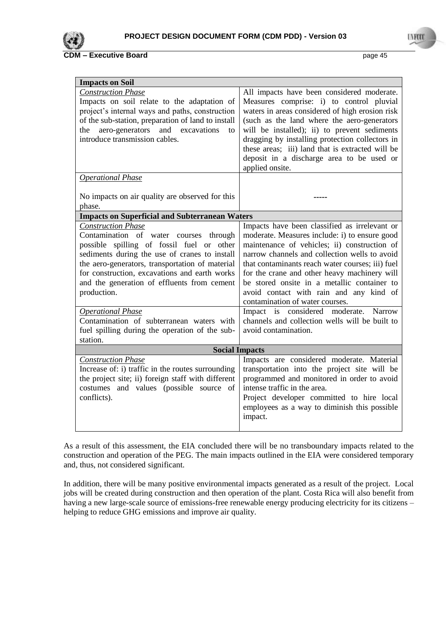

| <b>Impacts on Soil</b>                                                                                                                                                                                                                                                                                                              |                                                                                                                                                                                                                                                                                                                                                                                                                                  |
|-------------------------------------------------------------------------------------------------------------------------------------------------------------------------------------------------------------------------------------------------------------------------------------------------------------------------------------|----------------------------------------------------------------------------------------------------------------------------------------------------------------------------------------------------------------------------------------------------------------------------------------------------------------------------------------------------------------------------------------------------------------------------------|
| <b>Construction Phase</b><br>Impacts on soil relate to the adaptation of<br>project's internal ways and paths, construction<br>of the sub-station, preparation of land to install<br>the aero-generators and excavations<br>to<br>introduce transmission cables.                                                                    | All impacts have been considered moderate.<br>Measures comprise: i) to control pluvial<br>waters in areas considered of high erosion risk<br>(such as the land where the aero-generators<br>will be installed); ii) to prevent sediments<br>dragging by installing protection collectors in<br>these areas; iii) land that is extracted will be<br>deposit in a discharge area to be used or<br>applied onsite.                  |
| <b>Operational Phase</b>                                                                                                                                                                                                                                                                                                            |                                                                                                                                                                                                                                                                                                                                                                                                                                  |
| No impacts on air quality are observed for this<br>phase.                                                                                                                                                                                                                                                                           |                                                                                                                                                                                                                                                                                                                                                                                                                                  |
| <b>Impacts on Superficial and Subterranean Waters</b>                                                                                                                                                                                                                                                                               |                                                                                                                                                                                                                                                                                                                                                                                                                                  |
| <b>Construction Phase</b><br>Contamination of water courses through<br>possible spilling of fossil fuel or other<br>sediments during the use of cranes to install<br>the aero-generators, transportation of material<br>for construction, excavations and earth works<br>and the generation of effluents from cement<br>production. | Impacts have been classified as irrelevant or<br>moderate. Measures include: i) to ensure good<br>maintenance of vehicles; ii) construction of<br>narrow channels and collection wells to avoid<br>that contaminants reach water courses; iii) fuel<br>for the crane and other heavy machinery will<br>be stored onsite in a metallic container to<br>avoid contact with rain and any kind of<br>contamination of water courses. |
| <b>Operational Phase</b><br>Contamination of subterranean waters with<br>fuel spilling during the operation of the sub-<br>station.                                                                                                                                                                                                 | Impact is considered moderate.<br>Narrow<br>channels and collection wells will be built to<br>avoid contamination.                                                                                                                                                                                                                                                                                                               |
| <b>Social Impacts</b>                                                                                                                                                                                                                                                                                                               |                                                                                                                                                                                                                                                                                                                                                                                                                                  |
| <b>Construction Phase</b><br>Increase of: i) traffic in the routes surrounding<br>the project site; ii) foreign staff with different<br>costumes and values (possible source of<br>conflicts).                                                                                                                                      | Impacts are considered moderate. Material<br>transportation into the project site will be<br>programmed and monitored in order to avoid<br>intense traffic in the area.<br>Project developer committed to hire local<br>employees as a way to diminish this possible<br>impact.                                                                                                                                                  |

As a result of this assessment, the EIA concluded there will be no transboundary impacts related to the construction and operation of the PEG. The main impacts outlined in the EIA were considered temporary and, thus, not considered significant.

In addition, there will be many positive environmental impacts generated as a result of the project. Local jobs will be created during construction and then operation of the plant. Costa Rica will also benefit from having a new large-scale source of emissions-free renewable energy producing electricity for its citizens – helping to reduce GHG emissions and improve air quality.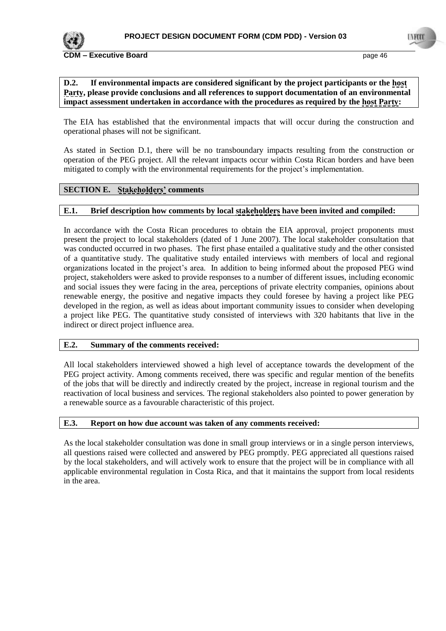

## **D.2. If environmental impacts are considered significant by the project participants or the host Party, please provide conclusions and all references to support documentation of an environmental impact assessment undertaken in accordance with the procedures as required by the host Party:**

The EIA has established that the environmental impacts that will occur during the construction and operational phases will not be significant.

As stated in Section D.1, there will be no transboundary impacts resulting from the construction or operation of the PEG project. All the relevant impacts occur within Costa Rican borders and have been mitigated to comply with the environmental requirements for the project"s implementation.

## **SECTION E. Stakeholders' comments**

## **E.1. Brief description how comments by local stakeholders have been invited and compiled:**

In accordance with the Costa Rican procedures to obtain the EIA approval, project proponents must present the project to local stakeholders (dated of 1 June 2007). The local stakeholder consultation that was conducted occurred in two phases. The first phase entailed a qualitative study and the other consisted of a quantitative study. The qualitative study entailed interviews with members of local and regional organizations located in the project"s area. In addition to being informed about the proposed PEG wind project, stakeholders were asked to provide responses to a number of different issues, including economic and social issues they were facing in the area, perceptions of private electrity companies, opinions about renewable energy, the positive and negative impacts they could foresee by having a project like PEG developed in the region, as well as ideas about important community issues to consider when developing a project like PEG. The quantitative study consisted of interviews with 320 habitants that live in the indirect or direct project influence area.

#### **E.2. Summary of the comments received:**

All local stakeholders interviewed showed a high level of acceptance towards the development of the PEG project activity. Among comments received, there was specific and regular mention of the benefits of the jobs that will be directly and indirectly created by the project, increase in regional tourism and the reactivation of local business and services. The regional stakeholders also pointed to power generation by a renewable source as a favourable characteristic of this project.

# **E.3. Report on how due account was taken of any comments received:**

As the local stakeholder consultation was done in small group interviews or in a single person interviews, all questions raised were collected and answered by PEG promptly. PEG appreciated all questions raised by the local stakeholders, and will actively work to ensure that the project will be in compliance with all applicable environmental regulation in Costa Rica, and that it maintains the support from local residents in the area.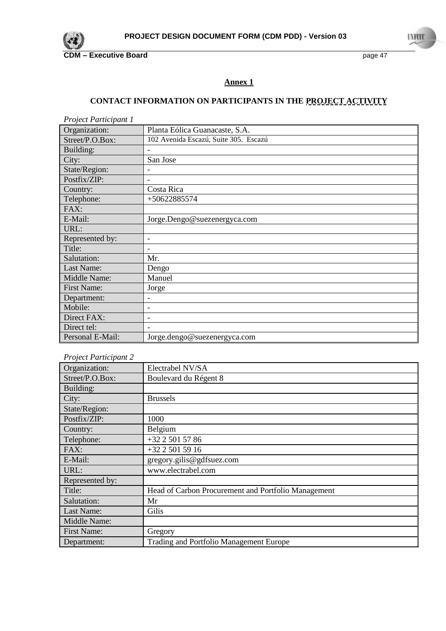

## **Annex 1**

# **CONTACT INFORMATION ON PARTICIPANTS IN THE PROJECT ACTIVITY**

| <b>Project Participant 1</b> |                                       |
|------------------------------|---------------------------------------|
| Organization:                | Planta Eólica Guanacaste, S.A.        |
| Street/P.O.Box:              | 102 Avenida Escazú, Suite 305. Escazú |
| Building:                    |                                       |
| City:                        | San Jose                              |
| State/Region:                | $\overline{\phantom{a}}$              |
| Postfix/ZIP:                 | $\overline{\phantom{0}}$              |
| Country:                     | Costa Rica                            |
| Telephone:                   | $+50622885574$                        |
| FAX:                         |                                       |
| E-Mail:                      | Jorge.Dengo@suezenergyca.com          |
| URL:                         |                                       |
| Represented by:              | $\overline{\phantom{a}}$              |
| Title:                       |                                       |
| Salutation:                  | Mr.                                   |
| Last Name:                   | Dengo                                 |
| Middle Name:                 | Manuel                                |
| <b>First Name:</b>           | Jorge                                 |
| Department:                  | $\overline{\phantom{a}}$              |
| Mobile:                      | $\overline{\phantom{a}}$              |
| Direct FAX:                  | $\overline{\phantom{a}}$              |
| Direct tel:                  |                                       |
| Personal E-Mail:             | Jorge.dengo@suezenergyca.com          |

## *Project Participant 2*

| $1$ roject I articipatu $\mu$ |                                                     |
|-------------------------------|-----------------------------------------------------|
| Organization:                 | Electrabel NV/SA                                    |
| Street/P.O.Box:               | Boulevard du Régent 8                               |
| Building:                     |                                                     |
| City:                         | <b>Brussels</b>                                     |
| State/Region:                 |                                                     |
| Postfix/ZIP:                  | 1000                                                |
| Country:                      | Belgium                                             |
| Telephone:                    | $+32$ 2 501 57 86                                   |
| FAX:                          | +32 2 501 59 16                                     |
| E-Mail:                       | gregory.gilis@gdfsuez.com                           |
| URL:                          | www.electrabel.com                                  |
| Represented by:               |                                                     |
| Title:                        | Head of Carbon Procurement and Portfolio Management |
| Salutation:                   | Mr                                                  |
| Last Name:                    | Gilis                                               |
| Middle Name:                  |                                                     |
| <b>First Name:</b>            | Gregory                                             |
| Department:                   | Trading and Portfolio Management Europe             |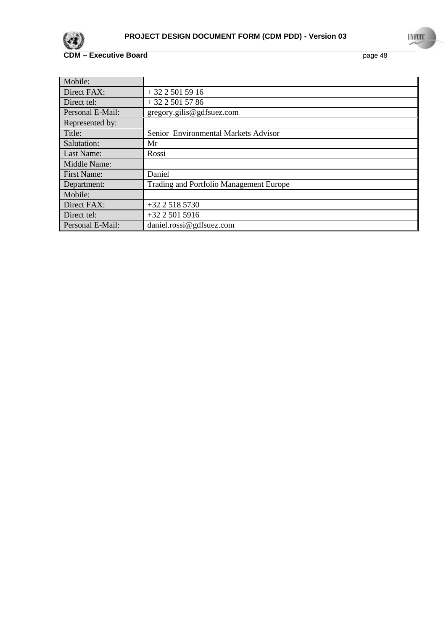

| Mobile:          |                                         |
|------------------|-----------------------------------------|
| Direct FAX:      | $+3225015916$                           |
| Direct tel:      | $+3225015786$                           |
| Personal E-Mail: | gregory.gilis@gdfsuez.com               |
| Represented by:  |                                         |
| Title:           | Senior Environmental Markets Advisor    |
| Salutation:      | Mr                                      |
| Last Name:       | Rossi                                   |
| Middle Name:     |                                         |
| First Name:      | Daniel                                  |
| Department:      | Trading and Portfolio Management Europe |
| Mobile:          |                                         |
| Direct FAX:      | $+3225185730$                           |
| Direct tel:      | $+3225015916$                           |
| Personal E-Mail: | daniel.rossi@gdfsuez.com                |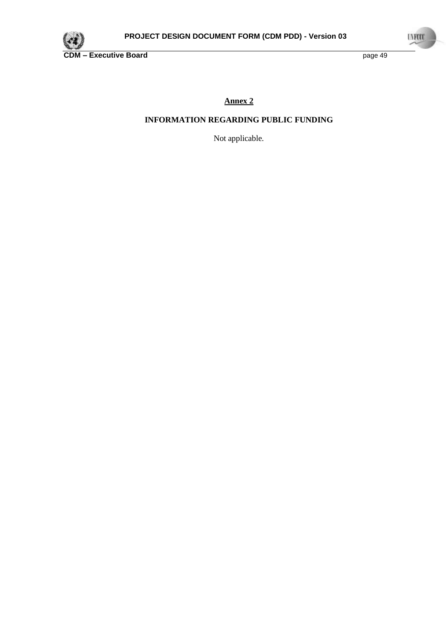

**Annex 2**

# **INFORMATION REGARDING PUBLIC FUNDING**

Not applicable.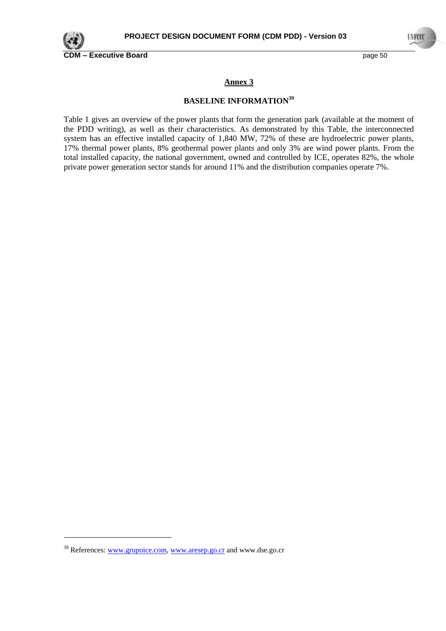

-

**Annex 3**

## **BASELINE INFORMATION<sup>39</sup>**

Table 1 gives an overview of the power plants that form the generation park (available at the moment of the PDD writing), as well as their characteristics. As demonstrated by this Table, the interconnected system has an effective installed capacity of 1,840 MW, 72% of these are hydroelectric power plants, 17% thermal power plants, 8% geothermal power plants and only 3% are wind power plants. From the total installed capacity, the national government, owned and controlled by ICE, operates 82%, the whole private power generation sector stands for around 11% and the distribution companies operate 7%.

<sup>&</sup>lt;sup>39</sup> References[: www.grupoice.com,](http://www.grupoice.com/) [www.aresep.go.cr](http://www.aresep.go.cr/) and www.dse.go.cr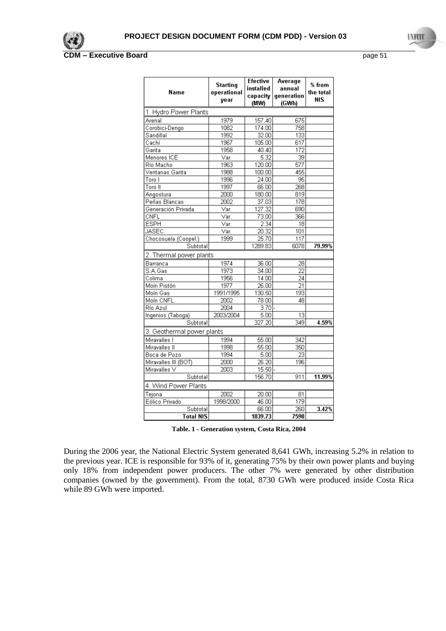

| Name                       | <b>Starting</b><br>operational<br>year | <b>Efective</b><br>installed<br>capacity<br>(MW) | Average<br>annual<br>generation<br>(GWh) | % from<br>the total<br><b>NIS</b> |
|----------------------------|----------------------------------------|--------------------------------------------------|------------------------------------------|-----------------------------------|
| 1. Hydro Power Plants      |                                        |                                                  |                                          |                                   |
| Arenal                     | 1979                                   | 157.40                                           | 675                                      |                                   |
| Corobici-Dengo             | 1082                                   | 174.00                                           | 758                                      |                                   |
| Sandillal                  | 1992                                   | 32.00                                            | 133                                      |                                   |
| Cachí                      | 1967                                   | 105.00                                           | 617                                      |                                   |
| Garita                     | 1958                                   | 40.40                                            | 172                                      |                                   |
| Menores ICE                | Var.                                   | 5.32                                             | 39                                       |                                   |
| Río Macho                  | 1963                                   | 120.00                                           | 577                                      |                                   |
| Ventanas Garita            | 1988                                   | 100.00                                           | 455                                      |                                   |
| Toro I                     | 1996                                   | 24.00                                            | 95                                       |                                   |
| Toro II                    | 1997                                   | 66.00                                            | 268                                      |                                   |
| Angostura                  | 2000                                   | 180.00                                           | 819                                      |                                   |
| Peñas Blancas              | 2002                                   | 37.03                                            | 178                                      |                                   |
| Generación Privada         | Var.                                   | 127.32                                           | 690                                      |                                   |
| CNFL                       | $\overline{\vee}$ ar.                  | 73.00                                            | 366                                      |                                   |
| <b>ESPH</b>                | Var.                                   | 2.34                                             | 18                                       |                                   |
| JASEC                      | Var.                                   | 20.32                                            | 101                                      |                                   |
| Chocosuela (Coopel.)       | 1999                                   | 25.70                                            | 117                                      |                                   |
| Subtotal                   |                                        | 1289.83                                          | 6078                                     | 79.99%                            |
| 2. Thermal power plants    |                                        |                                                  |                                          |                                   |
| Barranca                   | 1974                                   | 36.00                                            | 28                                       |                                   |
| S.A.Gas                    | 1973                                   | 34.00                                            | $\overline{22}$                          |                                   |
| Colima                     | 1956                                   | 14.00                                            | 24                                       |                                   |
| Moín Pistón                | 1977                                   | 26.00                                            | 21                                       |                                   |
| Moín Gas                   | 1991/1995                              | 130.50                                           | 193                                      |                                   |
| Moín CNFL                  | 2002                                   | 78.00                                            | 48                                       |                                   |
| Río Azul                   | 2004                                   | 3.70                                             |                                          |                                   |
| Ingenios (Taboga)          | 2003/2004                              | 5.00                                             | 13                                       |                                   |
| Subtotal                   |                                        | 327.20                                           | 349                                      | 4.59%                             |
| 3. Geothermal power plants |                                        |                                                  |                                          |                                   |
| Miravalles I               | 1994                                   | 55.00                                            | 342                                      |                                   |
| Miravalles II              | 1998                                   | 55.00                                            | 350                                      |                                   |
| Boca de Pozo               | 1994                                   | 5.00                                             | $\overline{23}$                          |                                   |
| Miravalles III (BOT)       | 2000                                   | 26.20                                            | 196                                      |                                   |
| Miravalles V               | 2003                                   | 15.50                                            |                                          |                                   |
| Subtotal                   |                                        | 156.70                                           | 911                                      | 11.99%                            |
| 4. Wind Power Plants       |                                        |                                                  |                                          |                                   |
| Tejona                     | 2002                                   | 20.00                                            | 81                                       |                                   |
| Eólico Privado             | 1998/2000                              | 46.00                                            | 179                                      |                                   |
| Subtotal                   |                                        | 66.00                                            | 260                                      | 3.42%                             |
| Total NIS                  |                                        | 1839.73                                          | 7598                                     |                                   |

**Table. 1 - Generation system, Costa Rica, 2004**

During the 2006 year, the National Electric System generated 8,641 GWh, increasing 5.2% in relation to the previous year. ICE is responsible for 93% of it, generating 75% by their own power plants and buying only 18% from independent power producers. The other 7% were generated by other distribution companies (owned by the government). From the total, 8730 GWh were produced inside Costa Rica while 89 GWh were imported.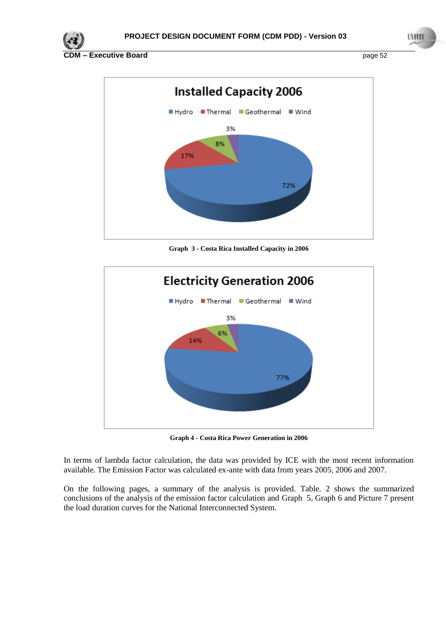



**Graph 3 - Costa Rica Installed Capacity in 2006**



**Graph 4 - Costa Rica Power Generation in 2006**

In terms of lambda factor calculation, the data was provided by ICE with the most recent information available. The Emission Factor was calculated ex-ante with data from years 2005, 2006 and 2007.

On the following pages, a summary of the analysis is provided. [Table. 2](#page-52-0) shows the summarized conclusions of the analysis of the emission factor calculation and [Graph 5,](#page-52-1) [Graph](#page-53-0) 6 and [Picture 7](#page-53-1) present the load duration curves for the National Interconnected System.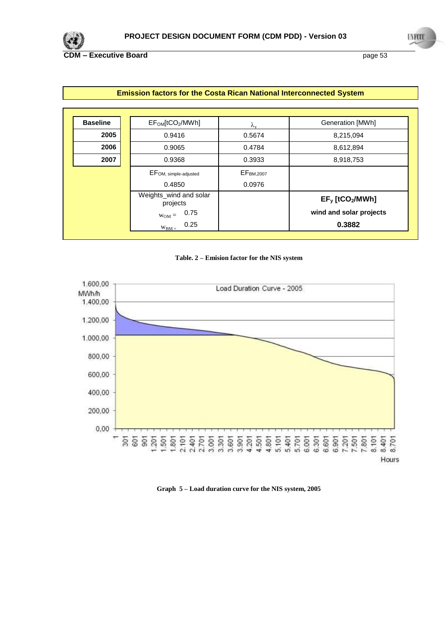

| <b>Baseline</b> | EF <sub>OM</sub> [tCO <sub>2</sub> /MWh] | $\lambda_{\rm v}$     | Generation [MWh]               |
|-----------------|------------------------------------------|-----------------------|--------------------------------|
| 2005            | 0.9416                                   | 0.5674                | 8,215,094                      |
| 2006            | 0.9065                                   | 0.4784                | 8,612,894                      |
| 2007            | 0.9368                                   | 0.3933                | 8,918,753                      |
|                 | EFOM, simple-adjusted                    | EF <sub>BM,2007</sub> |                                |
|                 | 0.4850                                   | 0.0976                |                                |
|                 | Weights_wind and solar<br>projects       |                       | $EF_y$ [tCO <sub>2</sub> /MWh] |
|                 | 0.75<br>$W_{OM} =$                       |                       | wind and solar projects        |
|                 | 0.25<br>$W_{BM} =$                       |                       | 0.3882                         |

# **Emission factors for the Costa Rican National Interconnected System**



<span id="page-52-0"></span>

<span id="page-52-1"></span>**Graph 5 – Load duration curve for the NIS system, 2005**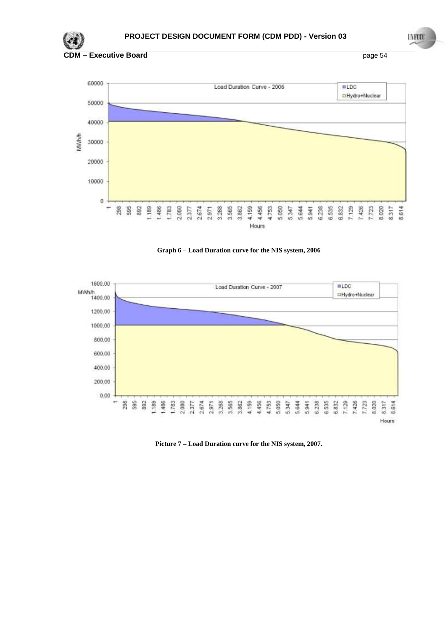





<span id="page-53-0"></span>

<span id="page-53-1"></span>**Picture 7 – Load Duration curve for the NIS system, 2007.**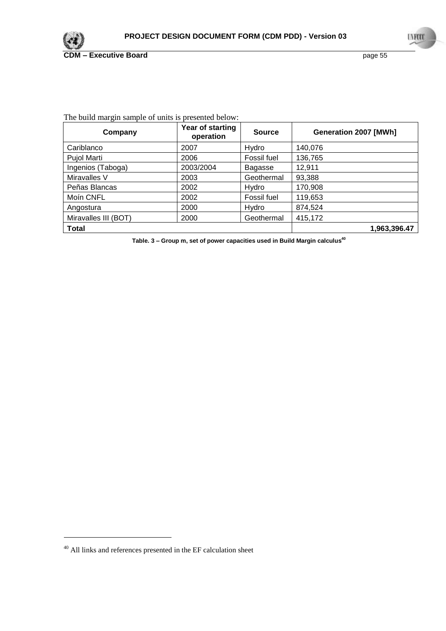

| The build margin sample of units is presented below: |  |  |  |  |
|------------------------------------------------------|--|--|--|--|
|------------------------------------------------------|--|--|--|--|

| Company              | Year of starting<br>operation | <b>Source</b> | Generation 2007 [MWh] |
|----------------------|-------------------------------|---------------|-----------------------|
| Cariblanco           | 2007                          | Hydro         | 140,076               |
| Pujol Marti          | 2006                          | Fossil fuel   | 136,765               |
| Ingenios (Taboga)    | 2003/2004                     | Bagasse       | 12,911                |
| Miravalles V         | 2003                          | Geothermal    | 93,388                |
| Peñas Blancas        | 2002                          | Hydro         | 170,908               |
| Moin CNFL            | 2002                          | Fossil fuel   | 119,653               |
| Angostura            | 2000                          | Hydro         | 874,524               |
| Miravalles III (BOT) | 2000                          | Geothermal    | 415,172               |
| <b>Total</b>         |                               |               | 1,963,396.47          |

<span id="page-54-0"></span>**Table. 3 – Group m, set of power capacities used in Build Margin calculus 40**

-

 $^{40}$  All links and references presented in the EF calculation sheet